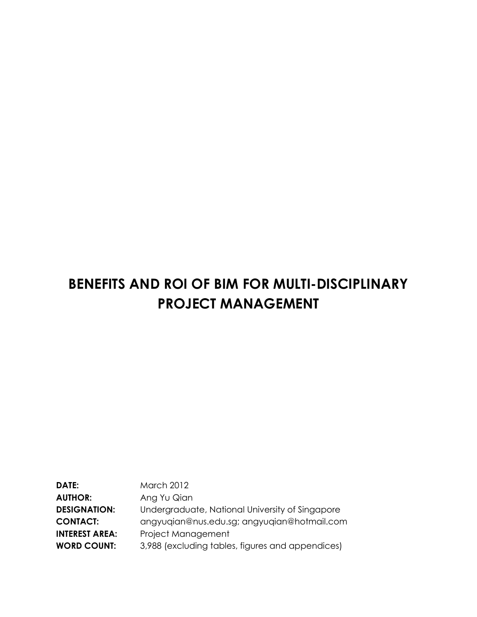# **BENEFITS AND ROI OF BIM FOR MULTI-DISCIPLINARY PROJECT MANAGEMENT**

| <b>March 2012</b>                                |
|--------------------------------------------------|
|                                                  |
| Ang Yu Qian                                      |
| Undergraduate, National University of Singapore  |
| angyugian@nus.edu.sg; angyugian@hotmail.com      |
| Project Management                               |
| 3,988 (excluding tables, figures and appendices) |
|                                                  |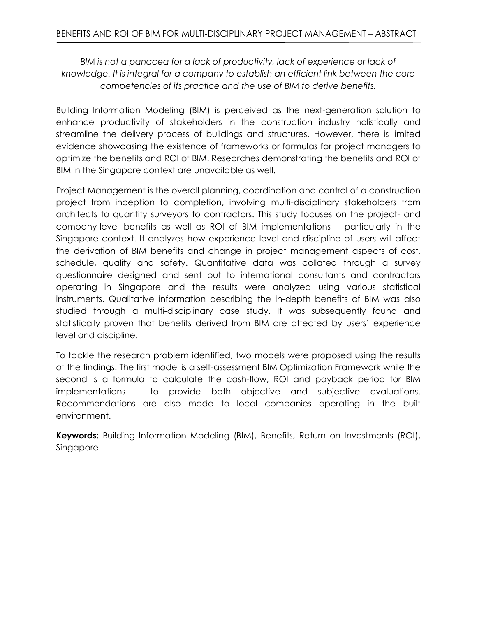*BIM is not a panacea for a lack of productivity, lack of experience or lack of knowledge. It is integral for a company to establish an efficient link between the core competencies of its practice and the use of BIM to derive benefits.*

Building Information Modeling (BIM) is perceived as the next-generation solution to enhance productivity of stakeholders in the construction industry holistically and streamline the delivery process of buildings and structures. However, there is limited evidence showcasing the existence of frameworks or formulas for project managers to optimize the benefits and ROI of BIM. Researches demonstrating the benefits and ROI of BIM in the Singapore context are unavailable as well.

Project Management is the overall planning, coordination and control of a construction project from inception to completion, involving multi-disciplinary stakeholders from architects to quantity surveyors to contractors. This study focuses on the project- and company-level benefits as well as ROI of BIM implementations – particularly in the Singapore context. It analyzes how experience level and discipline of users will affect the derivation of BIM benefits and change in project management aspects of cost, schedule, quality and safety. Quantitative data was collated through a survey questionnaire designed and sent out to international consultants and contractors operating in Singapore and the results were analyzed using various statistical instruments. Qualitative information describing the in-depth benefits of BIM was also studied through a multi-disciplinary case study. It was subsequently found and statistically proven that benefits derived from BIM are affected by users' experience level and discipline.

To tackle the research problem identified, two models were proposed using the results of the findings. The first model is a self-assessment BIM Optimization Framework while the second is a formula to calculate the cash-flow, ROI and payback period for BIM implementations – to provide both objective and subjective evaluations. Recommendations are also made to local companies operating in the built environment.

**Keywords:** Building Information Modeling (BIM), Benefits, Return on Investments (ROI), Singapore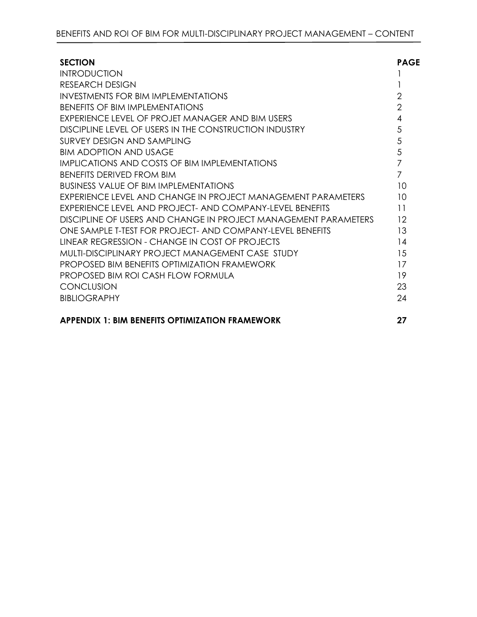| <b>SECTION</b>                                                  | <b>PAGE</b>    |
|-----------------------------------------------------------------|----------------|
| <b>INTRODUCTION</b>                                             |                |
| <b>RESEARCH DESIGN</b>                                          |                |
| <b>INVESTMENTS FOR BIM IMPLEMENTATIONS</b>                      | $\overline{2}$ |
| <b>BENEFITS OF BIM IMPLEMENTATIONS</b>                          | $\overline{2}$ |
| EXPERIENCE LEVEL OF PROJET MANAGER AND BIM USERS                | $\overline{4}$ |
| DISCIPLINE LEVEL OF USERS IN THE CONSTRUCTION INDUSTRY          | 5              |
| SURVEY DESIGN AND SAMPLING                                      | 5              |
| <b>BIM ADOPTION AND USAGE</b>                                   | 5              |
| IMPLICATIONS AND COSTS OF BIM IMPLEMENTATIONS                   | $\overline{7}$ |
| <b>BENFFITS DERIVED FROM BIM</b>                                | $\overline{7}$ |
| <b>BUSINESS VALUE OF BIM IMPLEMENTATIONS</b>                    | 10             |
| EXPERIENCE LEVEL AND CHANGE IN PROJECT MANAGEMENT PARAMETERS    | 10             |
| EXPERIENCE LEVEL AND PROJECT- AND COMPANY-LEVEL BENEFITS        | 11             |
| DISCIPLINE OF USERS AND CHANGE IN PROJECT MANAGEMENT PARAMETERS | 12             |
| ONE SAMPLE T-TEST FOR PROJECT- AND COMPANY-LEVEL BENEFITS       | 13             |
| LINEAR REGRESSION - CHANGE IN COST OF PROJECTS                  | 14             |
| MULTI-DISCIPLINARY PROJECT MANAGEMENT CASE STUDY                | 15             |
| PROPOSED BIM BENEFITS OPTIMIZATION FRAMEWORK                    | 17             |
| PROPOSED BIM ROI CASH FLOW FORMULA                              | 19             |
| <b>CONCLUSION</b>                                               | 23             |
| <b>BIBLIOGRAPHY</b>                                             | 24             |
| <b>APPENDIX 1: BIM BENEFITS OPTIMIZATION FRAMEWORK</b>          | 27             |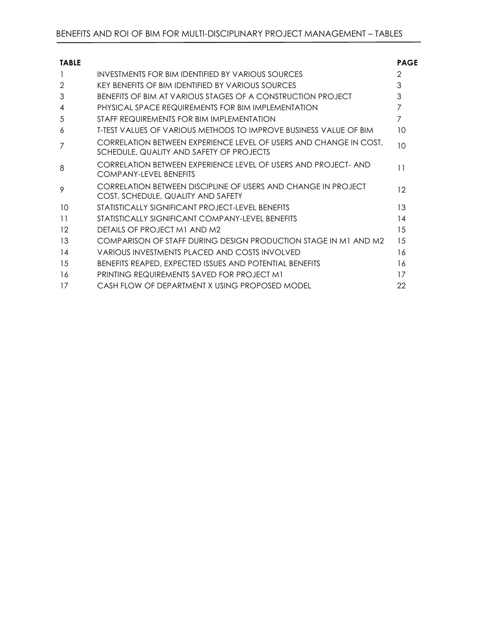| <b>TABLE</b> |                                                                                                               | <b>PAGE</b>   |
|--------------|---------------------------------------------------------------------------------------------------------------|---------------|
|              | INVESTMENTS FOR BIM IDENTIFIED BY VARIOUS SOURCES                                                             | $\mathcal{P}$ |
| 2            | KEY BENEFITS OF BIM IDENTIFIED BY VARIOUS SOURCES                                                             | 3             |
| 3            | BENFEITS OF BIM AT VARIOUS STAGES OF A CONSTRUCTION PROJECT                                                   | 3             |
| 4            | PHYSICAL SPACE REQUIREMENTS FOR BIM IMPLEMENTATION                                                            | 7             |
| 5            | STAFF REQUIREMENTS FOR BIM IMPLEMENTATION                                                                     | 7             |
| 6            | <b>T-TEST VALUES OF VARIOUS METHODS TO IMPROVE BUSINESS VALUE OF BIM</b>                                      | 10            |
| 7            | CORRELATION BETWEEN EXPERIENCE LEVEL OF USERS AND CHANGE IN COST,<br>SCHEDULE, QUALITY AND SAFETY OF PROJECTS | 10            |
| 8            | CORRELATION BETWEEN EXPERIENCE LEVEL OF USERS AND PROJECT- AND<br>COMPANY-I FVFI BENFFITS                     | 11            |
| 9            | <b>CORRELATION BETWEEN DISCIPLINE OF USERS AND CHANGE IN PROJECT</b><br>COST, SCHEDULE, QUALITY AND SAFETY    | 12            |
| 10           | STATISTICALLY SIGNIFICANT PROJECT-LEVEL BENEFITS                                                              | 13            |
| 11           | STATISTICALLY SIGNIFICANT COMPANY-LEVEL BENEFITS                                                              | 14            |
| 12           | DETAILS OF PROJECT M1 AND M2                                                                                  | 15            |
| 13           | COMPARISON OF STAFF DURING DESIGN PRODUCTION STAGE IN M1 AND M2                                               | 15            |
| 14           | VARIOUS INVESTMENTS PLACED AND COSTS INVOLVED                                                                 | 16            |
| 15           | BENEFITS REAPED, EXPECTED ISSUES AND POTENTIAL BENEFITS                                                       | 16            |
| 16           | <b>PRINTING REQUIREMENTS SAVED FOR PROJECT M1</b>                                                             | 17            |
| 17           | CASH FLOW OF DEPARTMENT X USING PROPOSED MODEL                                                                | 22            |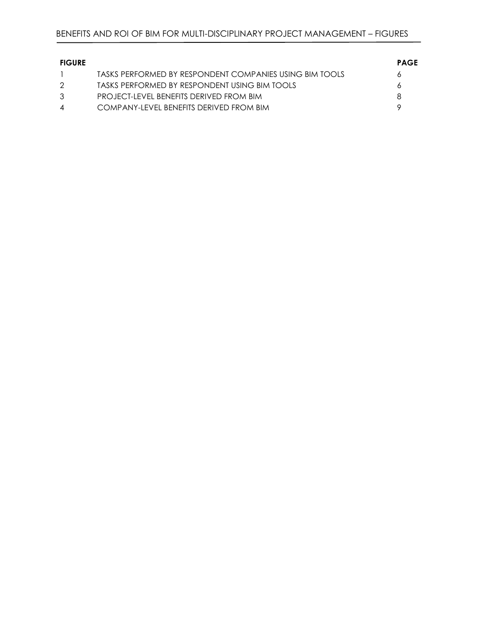| <b>FIGURE</b>  |                                                         | <b>PAGE</b> |
|----------------|---------------------------------------------------------|-------------|
|                | TASKS PERFORMED BY RESPONDENT COMPANIES USING BIM TOOLS |             |
| 2              | TASKS PERFORMED BY RESPONDENT USING BIM TOOLS           |             |
| $\mathcal{B}$  | PROJECT-LEVEL BENEFITS DERIVED FROM BIM                 |             |
| $\overline{4}$ | COMPANY-LEVEL BENFEITS DERIVED FROM BIM                 |             |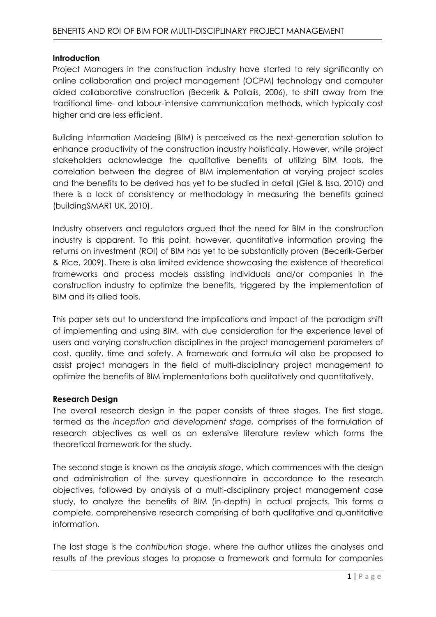#### **Introduction**

Project Managers in the construction industry have started to rely significantly on online collaboration and project management (OCPM) technology and computer aided collaborative construction (Becerik & Pollalis, 2006), to shift away from the traditional time- and labour-intensive communication methods, which typically cost higher and are less efficient.

Building Information Modeling (BIM) is perceived as the next-generation solution to enhance productivity of the construction industry holistically. However, while project stakeholders acknowledge the qualitative benefits of utilizing BIM tools, the correlation between the degree of BIM implementation at varying project scales and the benefits to be derived has yet to be studied in detail (Giel & Issa, 2010) and there is a lack of consistency or methodology in measuring the benefits gained (buildingSMART UK, 2010).

Industry observers and regulators argued that the need for BIM in the construction industry is apparent. To this point, however, quantitative information proving the returns on investment (ROI) of BIM has yet to be substantially proven (Becerik-Gerber & Rice, 2009). There is also limited evidence showcasing the existence of theoretical frameworks and process models assisting individuals and/or companies in the construction industry to optimize the benefits, triggered by the implementation of BIM and its allied tools.

This paper sets out to understand the implications and impact of the paradigm shift of implementing and using BIM, with due consideration for the experience level of users and varying construction disciplines in the project management parameters of cost, quality, time and safety. A framework and formula will also be proposed to assist project managers in the field of multi-disciplinary project management to optimize the benefits of BIM implementations both qualitatively and quantitatively.

#### **Research Design**

The overall research design in the paper consists of three stages. The first stage, termed as the *inception and development stage,* comprises of the formulation of research objectives as well as an extensive literature review which forms the theoretical framework for the study.

The second stage is known as the *analysis stage*, which commences with the design and administration of the survey questionnaire in accordance to the research objectives, followed by analysis of a multi-disciplinary project management case study, to analyze the benefits of BIM (in-depth) in actual projects. This forms a complete, comprehensive research comprising of both qualitative and quantitative information.

The last stage is the *contribution stage*, where the author utilizes the analyses and results of the previous stages to propose a framework and formula for companies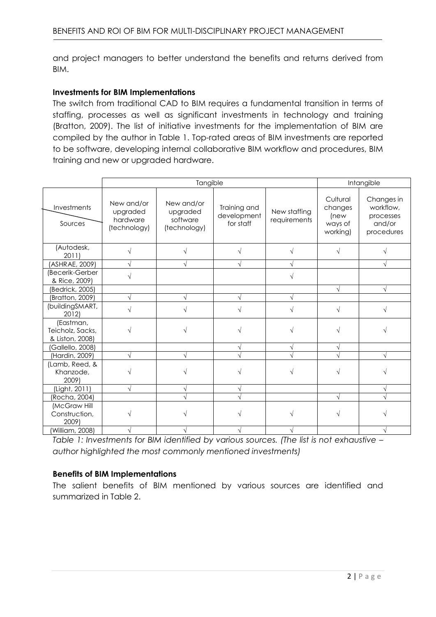and project managers to better understand the benefits and returns derived from BIM.

### **Investments for BIM Implementations**

The switch from traditional CAD to BIM requires a fundamental transition in terms of staffing, processes as well as significant investments in technology and training (Bratton, 2009). The list of initiative investments for the implementation of BIM are compiled by the author in Table 1. Top-rated areas of BIM investments are reported to be software, developing internal collaborative BIM workflow and procedures, BIM training and new or upgraded hardware.

|                                                  | Tangible                                           |                                                    |                                          |                              |                                                    | Intangible                                                   |  |
|--------------------------------------------------|----------------------------------------------------|----------------------------------------------------|------------------------------------------|------------------------------|----------------------------------------------------|--------------------------------------------------------------|--|
| Investments<br>Sources                           | New and/or<br>upgraded<br>hardware<br>(technology) | New and/or<br>upgraded<br>software<br>(technology) | Training and<br>development<br>for staff | New staffing<br>requirements | Cultural<br>changes<br>(new<br>ways of<br>working) | Changes in<br>workflow,<br>processes<br>and/or<br>procedures |  |
| (Autodesk,<br>2011                               |                                                    |                                                    |                                          |                              |                                                    |                                                              |  |
| (ASHRAE, 2009)                                   |                                                    |                                                    |                                          | V                            |                                                    |                                                              |  |
| (Becerik-Gerber<br>& Rice, 2009)                 |                                                    |                                                    |                                          | N                            |                                                    |                                                              |  |
| (Bedrick, 2005)                                  |                                                    |                                                    |                                          |                              | $\sqrt{ }$                                         | $\sqrt{ }$                                                   |  |
| (Bratton, 2009)                                  |                                                    |                                                    |                                          | V                            |                                                    |                                                              |  |
| (buildingSMART,<br>2012)                         |                                                    |                                                    |                                          | V                            | $\sqrt{ }$                                         | V                                                            |  |
| (Eastman,<br>Teicholz, Sacks,<br>& Liston, 2008) | V                                                  |                                                    |                                          |                              |                                                    |                                                              |  |
| (Gallello, 2008)                                 |                                                    |                                                    |                                          | V                            |                                                    |                                                              |  |
| (Hardin, 2009)                                   |                                                    |                                                    |                                          | $\sqrt{}$                    |                                                    |                                                              |  |
| (Lamb, Reed, &<br>Khanzode,<br>2009)             |                                                    |                                                    |                                          |                              |                                                    |                                                              |  |
| (Light, 2011)                                    |                                                    |                                                    |                                          |                              |                                                    |                                                              |  |
| (Rocha, 2004)                                    |                                                    |                                                    |                                          |                              | $\sqrt{}$                                          |                                                              |  |
| (McGraw Hill<br>Construction,<br>2009)           |                                                    |                                                    |                                          |                              |                                                    |                                                              |  |
| (William, 2008)                                  |                                                    |                                                    |                                          |                              |                                                    |                                                              |  |

*Table 1: Investments for BIM identified by various sources. (The list is not exhaustive – author highlighted the most commonly mentioned investments)*

# **Benefits of BIM Implementations**

The salient benefits of BIM mentioned by various sources are identified and summarized in Table 2.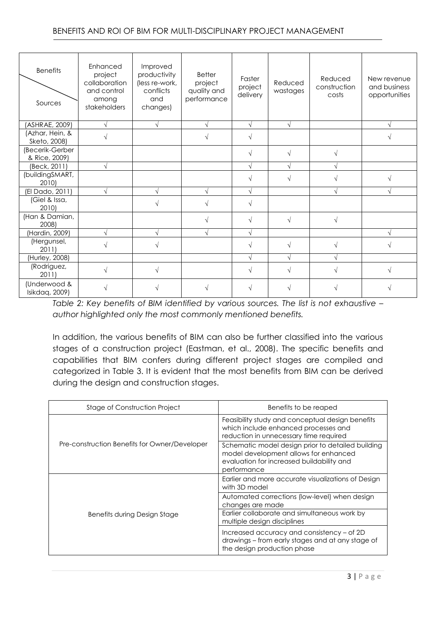| <b>Benefits</b><br>Sources       | Enhanced<br>project<br>collaboration<br>and control<br>among<br>stakeholders | Improved<br>productivity<br>(less re-work,<br>conflicts<br>and<br>changes) | <b>Better</b><br>project<br>quality and<br>performance | Faster<br>project<br>delivery | Reduced<br>wastages | Reduced<br>construction<br>costs | New revenue<br>and business<br>opportunities |
|----------------------------------|------------------------------------------------------------------------------|----------------------------------------------------------------------------|--------------------------------------------------------|-------------------------------|---------------------|----------------------------------|----------------------------------------------|
| (ASHRAE, 2009)                   | $\sqrt{}$                                                                    | $\sqrt{ }$                                                                 |                                                        | $\sqrt{ }$                    |                     |                                  | N                                            |
| (Azhar, Hein, &<br>Sketo, 2008)  |                                                                              |                                                                            |                                                        |                               |                     |                                  |                                              |
| (Becerik-Gerber<br>& Rice, 2009) |                                                                              |                                                                            |                                                        |                               |                     |                                  |                                              |
| (Beck, 2011)                     | $\sqrt{}$                                                                    |                                                                            |                                                        |                               |                     |                                  |                                              |
| (buildingSMART,<br>2010)         |                                                                              |                                                                            |                                                        |                               |                     |                                  |                                              |
| (El Dado, 2011)                  | $\sqrt{}$                                                                    | $\sqrt{ }$                                                                 |                                                        | N                             |                     | V                                | N                                            |
| (Giel & Issa,<br>2010)           |                                                                              |                                                                            |                                                        | V                             |                     |                                  |                                              |
| (Han & Damian,<br>2008)          |                                                                              |                                                                            |                                                        | N                             |                     | V                                |                                              |
| (Hardin, 2009)                   |                                                                              |                                                                            |                                                        |                               |                     |                                  |                                              |
| (Hergunsel,<br>2011)             |                                                                              |                                                                            |                                                        |                               |                     |                                  |                                              |
| (Hurley, 2008)                   |                                                                              |                                                                            |                                                        | N                             |                     |                                  |                                              |
| (Rodriguez,<br>2011)             | $\sqrt{}$                                                                    | $\sqrt{}$                                                                  |                                                        | V                             |                     |                                  | $\sqrt{ }$                                   |
| (Underwood &<br>Isikdaq, 2009)   |                                                                              |                                                                            |                                                        |                               |                     |                                  |                                              |

*Table 2: Key benefits of BIM identified by various sources. The list is not exhaustive – author highlighted only the most commonly mentioned benefits.*

In addition, the various benefits of BIM can also be further classified into the various stages of a construction project (Eastman, et al., 2008). The specific benefits and capabilities that BIM confers during different project stages are compiled and categorized in Table 3. It is evident that the most benefits from BIM can be derived during the design and construction stages.

| Stage of Construction Project                 | Benefits to be reaped                                                                                                                                  |
|-----------------------------------------------|--------------------------------------------------------------------------------------------------------------------------------------------------------|
|                                               | Feasibility study and conceptual design benefits<br>which include enhanced processes and<br>reduction in unnecessary time required                     |
| Pre-construction Benefits for Owner/Developer | Schematic model design prior to detailed building<br>model development allows for enhanced<br>evaluation for increased buildability and<br>performance |
|                                               | Earlier and more accurate visualizations of Design<br>with 3D model                                                                                    |
| <b>Benefits during Design Stage</b>           | Automated corrections (low-level) when design<br>changes are made                                                                                      |
|                                               | Earlier collaborate and simultaneous work by<br>multiple design disciplines                                                                            |
|                                               | Increased accuracy and consistency - of 2D<br>drawings - from early stages and at any stage of<br>the design production phase                          |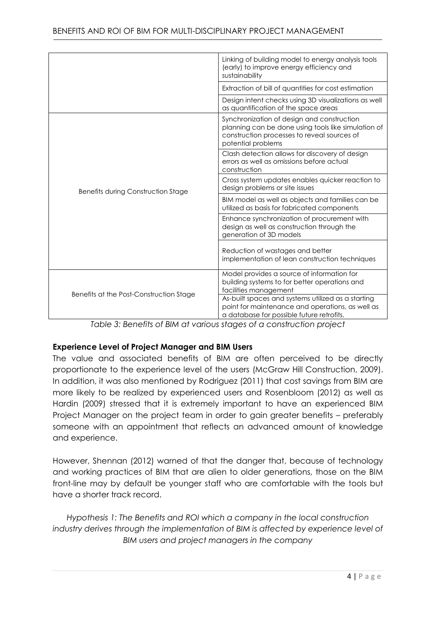|                                         | Linking of building model to energy analysis tools<br>(early) to improve energy efficiency and<br>sustainability                                                       |
|-----------------------------------------|------------------------------------------------------------------------------------------------------------------------------------------------------------------------|
|                                         | Extraction of bill of quantities for cost estimation                                                                                                                   |
|                                         | Design intent checks using 3D visualizations as well<br>as quantification of the space areas                                                                           |
|                                         | Synchronization of design and construction<br>planning can be done using tools like simulation of<br>construction processes to reveal sources of<br>potential problems |
| Benefits during Construction Stage      | Clash detection allows for discovery of design<br>errors as well as omissions before actual<br>construction                                                            |
|                                         | Cross system updates enables quicker reaction to<br>design problems or site issues                                                                                     |
|                                         | BIM model as well as objects and families can be<br>utilized as basis for fabricated components                                                                        |
|                                         | Enhance synchronization of procurement with<br>design as well as construction through the<br>generation of 3D models                                                   |
|                                         | Reduction of wastages and better<br>implementation of lean construction techniques                                                                                     |
| Benefits at the Post-Construction Stage | Model provides a source of information for<br>building systems to for better operations and<br>facilities management                                                   |
|                                         | As-built spaces and systems utilized as a starting<br>point for maintenance and operations, as well as<br>a database for possible future retrofits.                    |

*Table 3: Benefits of BIM at various stages of a construction project*

# **Experience Level of Project Manager and BIM Users**

The value and associated benefits of BIM are often perceived to be directly proportionate to the experience level of the users (McGraw Hill Construction, 2009). In addition, it was also mentioned by Rodriguez (2011) that cost savings from BIM are more likely to be realized by experienced users and Rosenbloom (2012) as well as Hardin (2009) stressed that it is extremely important to have an experienced BIM Project Manager on the project team in order to gain greater benefits – preferably someone with an appointment that reflects an advanced amount of knowledge and experience.

However, Shennan (2012) warned of that the danger that, because of technology and working practices of BIM that are alien to older generations, those on the BIM front-line may by default be younger staff who are comfortable with the tools but have a shorter track record.

*Hypothesis 1: The Benefits and ROI which a company in the local construction*  industry derives through the implementation of BIM is affected by experience level of *BIM users and project managers in the company*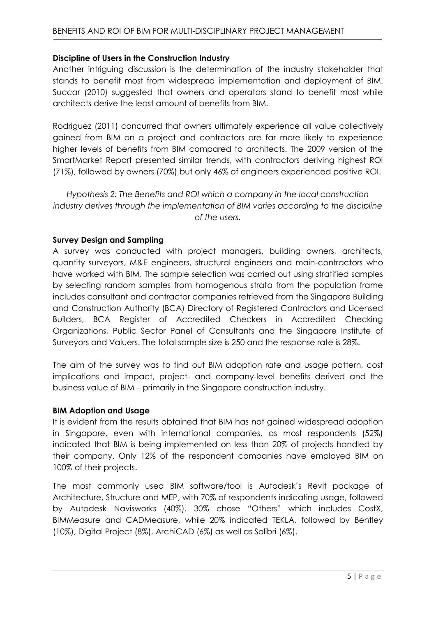## **Discipline of Users in the Construction Industry**

Another intriguing discussion is the determination of the industry stakeholder that stands to benefit most from widespread implementation and deployment of BIM. Succar (2010) suggested that owners and operators stand to benefit most while architects derive the least amount of benefits from BIM.

Rodriguez (2011) concurred that owners ultimately experience all value collectively gained from BIM on a project and contractors are far more likely to experience higher levels of benefits from BIM compared to architects. The 2009 version of the SmartMarket Report presented similar trends, with contractors deriving highest ROI (71%), followed by owners (70%) but only 46% of engineers experienced positive ROI.

*Hypothesis 2: The Benefits and ROI which a company in the local construction industry derives through the implementation of BIM varies according to the discipline of the users.*

### **Survey Design and Sampling**

A survey was conducted with project managers, building owners, architects, quantity surveyors, M&E engineers, structural engineers and main-contractors who have worked with BIM. The sample selection was carried out using stratified samples by selecting random samples from homogenous strata from the population frame includes consultant and contractor companies retrieved from the Singapore Building and Construction Authority (BCA) Directory of Registered Contractors and Licensed Builders, BCA Register of Accredited Checkers in Accredited Checking Organizations, Public Sector Panel of Consultants and the Singapore Institute of Surveyors and Valuers. The total sample size is 250 and the response rate is 28%.

The aim of the survey was to find out BIM adoption rate and usage pattern, cost implications and impact, project- and company-level benefits derived and the business value of BIM – primarily in the Singapore construction industry.

#### **BIM Adoption and Usage**

It is evident from the results obtained that BIM has not gained widespread adoption in Singapore, even with international companies, as most respondents (52%) indicated that BIM is being implemented on less than 20% of projects handled by their company. Only 12% of the respondent companies have employed BIM on 100% of their projects.

The most commonly used BIM software/tool is Autodesk's Revit package of Architecture, Structure and MEP, with 70% of respondents indicating usage, followed by Autodesk Navisworks (40%). 30% chose "Others" which includes CostX, BIMMeasure and CADMeasure, while 20% indicated TEKLA, followed by Bentley (10%), Digital Project (8%), ArchiCAD (6%) as well as Solibri (6%).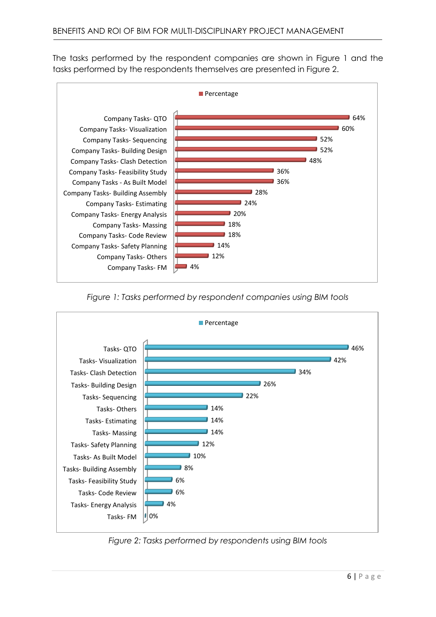The tasks performed by the respondent companies are shown in Figure 1 and the tasks performed by the respondents themselves are presented in Figure 2.



*Figure 1: Tasks performed by respondent companies using BIM tools*



*Figure 2: Tasks performed by respondents using BIM tools*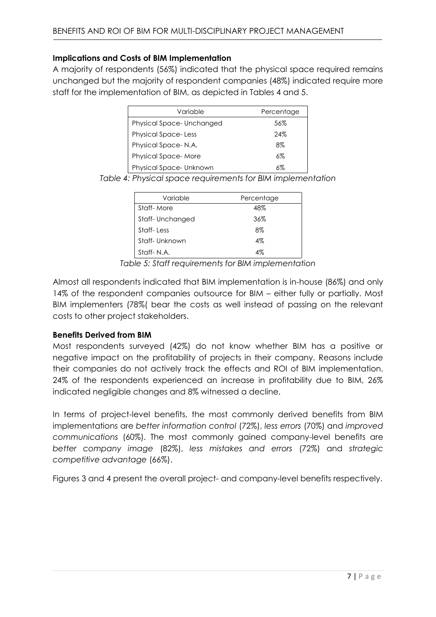## **Implications and Costs of BIM Implementation**

A majority of respondents (56%) indicated that the physical space required remains unchanged but the majority of respondent companies (48%) indicated require more staff for the implementation of BIM, as depicted in Tables 4 and 5.

| Variable                   | Percentage |
|----------------------------|------------|
| Physical Space-Unchanged   | 56%        |
| <b>Physical Space-Less</b> | 24%        |
| Physical Space-N.A.        | 8%         |
| <b>Physical Space-More</b> | 6%         |
| Physical Space-Unknown     | 6%         |

*Table 4: Physical space requirements for BIM implementation*

| Variable        | Percentage |
|-----------------|------------|
| Staff-More      | 48%        |
| Staff-Unchanged | 36%        |
| Staff-Less      | 8%         |
| Staff-Unknown   | $4\%$      |
| Staff-N.A.      | 4%         |

*Table 5: Staff requirements for BIM implementation*

Almost all respondents indicated that BIM implementation is in-house (86%) and only 14% of the respondent companies outsource for BIM – either fully or partially. Most BIM implementers (78%( bear the costs as well instead of passing on the relevant costs to other project stakeholders.

# **Benefits Derived from BIM**

Most respondents surveyed (42%) do not know whether BIM has a positive or negative impact on the profitability of projects in their company. Reasons include their companies do not actively track the effects and ROI of BIM implementation. 24% of the respondents experienced an increase in profitability due to BIM, 26% indicated negligible changes and 8% witnessed a decline.

In terms of project-level benefits, the most commonly derived benefits from BIM implementations are *better information control* (72%), *less errors* (70%) and *improved communications* (60%). The most commonly gained company-level benefits are *better company image* (82%), *less mistakes and errors* (72%) and *strategic competitive advantage* (66%).

Figures 3 and 4 present the overall project- and company-level benefits respectively.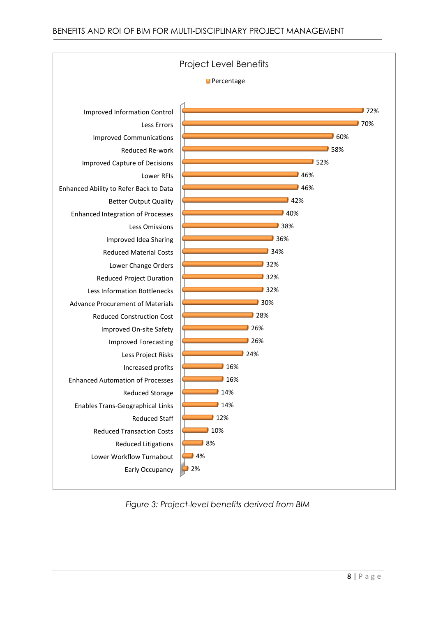

*Figure 3: Project-level benefits derived from BIM*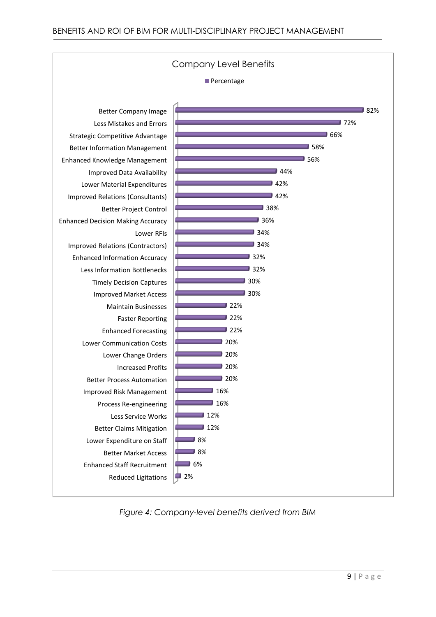

*Figure 4: Company-level benefits derived from BIM*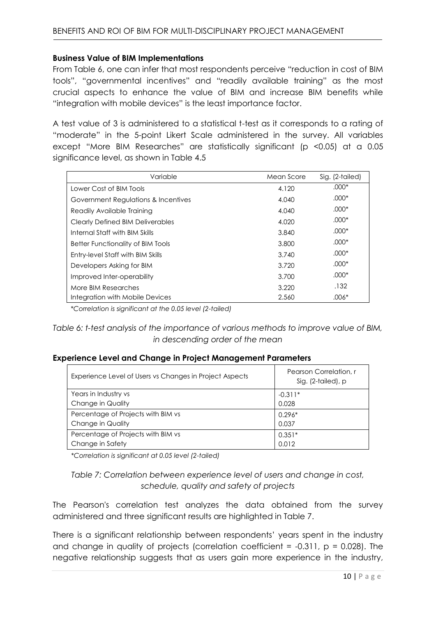#### **Business Value of BIM Implementations**

From Table 6, one can infer that most respondents perceive "reduction in cost of BIM tools", "governmental incentives" and "readily available training" as the most crucial aspects to enhance the value of BIM and increase BIM benefits while "integration with mobile devices" is the least importance factor.

A test value of 3 is administered to a statistical t-test as it corresponds to a rating of "moderate" in the 5-point Likert Scale administered in the survey. All variables except "More BIM Researches" are statistically significant (p <0.05) at a 0.05 significance level, as shown in Table 4.5

| Variable                                | Mean Score | Sig. (2-tailed) |
|-----------------------------------------|------------|-----------------|
| Lower Cost of BIM Tools                 | 4.120      | $.000*$         |
| Government Regulations & Incentives     | 4.040      | $.000*$         |
| Readily Available Training              | 4.040      | $.000*$         |
| <b>Clearly Defined BIM Deliverables</b> | 4.020      | $.000*$         |
| Internal Staff with BIM Skills          | 3.840      | $.000*$         |
| Better Functionality of BIM Tools       | 3.800      | $.000*$         |
| Entry-level Staff with BIM Skills       | 3.740      | $.000*$         |
| Developers Asking for BIM               | 3.720      | $.000*$         |
| Improved Inter-operability              | 3.700      | $.000*$         |
| More BIM Researches                     | 3.220      | .132            |
| Integration with Mobile Devices         | 2.560      | .006*           |

*\*Correlation is significant at the 0.05 level (2-tailed)*

*Table 6: t-test analysis of the importance of various methods to improve value of BIM, in descending order of the mean*

#### **Experience Level and Change in Project Management Parameters**

| Experience Level of Users vs Changes in Project Aspects | Pearson Correlation, r<br>Sig. (2-tailed), p |
|---------------------------------------------------------|----------------------------------------------|
| Years in Industry vs                                    | $-0.311*$                                    |
| Change in Quality                                       | 0.028                                        |
| Percentage of Projects with BIM vs                      | $0.296*$                                     |
| <b>Change in Quality</b>                                | 0.037                                        |
| Percentage of Projects with BIM vs                      | $0.351*$                                     |
| Change in Safety                                        | 0.012                                        |

*\*Correlation is significant at 0.05 level (2-tailed)*

*Table 7: Correlation between experience level of users and change in cost, schedule, quality and safety of projects*

The Pearson's correlation test analyzes the data obtained from the survey administered and three significant results are highlighted in Table 7.

There is a significant relationship between respondents' years spent in the industry and change in quality of projects (correlation coefficient =  $-0.311$ ,  $p = 0.028$ ). The negative relationship suggests that as users gain more experience in the industry,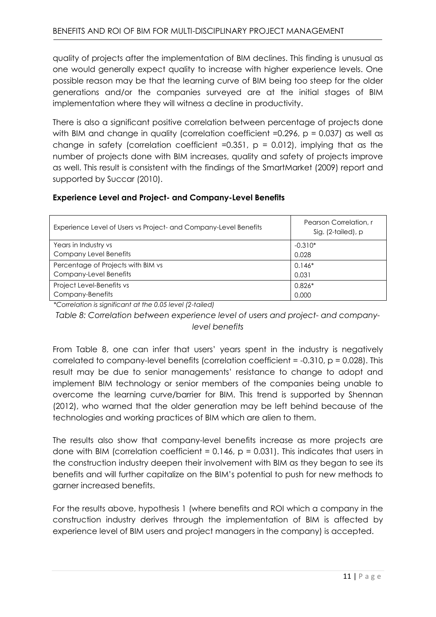quality of projects after the implementation of BIM declines. This finding is unusual as one would generally expect quality to increase with higher experience levels. One possible reason may be that the learning curve of BIM being too steep for the older generations and/or the companies surveyed are at the initial stages of BIM implementation where they will witness a decline in productivity.

There is also a significant positive correlation between percentage of projects done with BIM and change in quality (correlation coefficient =0.296,  $p = 0.037$ ) as well as change in safety (correlation coefficient =0.351,  $p = 0.012$ ), implying that as the number of projects done with BIM increases, quality and safety of projects improve as well. This result is consistent with the findings of the SmartMarket (2009) report and supported by Succar (2010).

# **Experience Level and Project- and Company-Level Benefits**

| Experience Level of Users vs Project- and Company-Level Benefits | Pearson Correlation, r<br>Sig. (2-tailed), p |
|------------------------------------------------------------------|----------------------------------------------|
| Years in Industry vs                                             | $-0.310*$                                    |
| <b>Company Level Benefits</b>                                    | 0.028                                        |
| Percentage of Projects with BIM vs                               | $0.146*$                                     |
| Company-Level Benefits                                           | 0.031                                        |
| Project Level-Benefits vs                                        | $0.826*$                                     |
| Company-Benefits                                                 | 0.000                                        |

*\*Correlation is significant at the 0.05 level (2-tailed)*

*Table 8: Correlation between experience level of users and project- and companylevel benefits*

From Table 8, one can infer that users' years spent in the industry is negatively correlated to company-level benefits (correlation coefficient =  $-0.310$ ,  $p = 0.028$ ). This result may be due to senior managements' resistance to change to adopt and implement BIM technology or senior members of the companies being unable to overcome the learning curve/barrier for BIM. This trend is supported by Shennan (2012), who warned that the older generation may be left behind because of the technologies and working practices of BIM which are alien to them.

The results also show that company-level benefits increase as more projects are done with BIM (correlation coefficient =  $0.146$ ,  $p = 0.031$ ). This indicates that users in the construction industry deepen their involvement with BIM as they began to see its benefits and will further capitalize on the BIM's potential to push for new methods to garner increased benefits.

For the results above, hypothesis 1 (where benefits and ROI which a company in the construction industry derives through the implementation of BIM is affected by experience level of BIM users and project managers in the company) is accepted.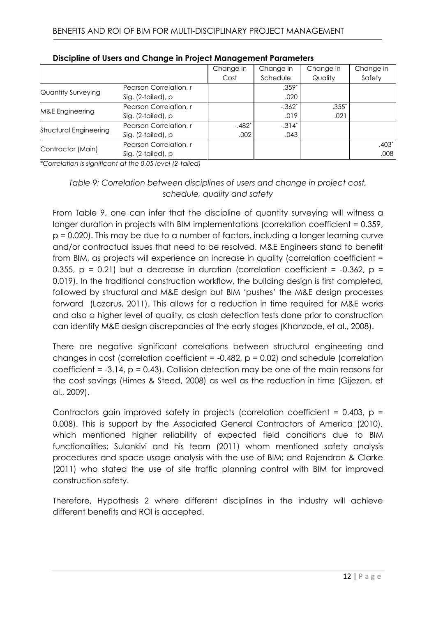|                           |                        | Change in | Change in | Change in | Change in |
|---------------------------|------------------------|-----------|-----------|-----------|-----------|
|                           |                        | Cost      | Schedule  | Quality   | Safety    |
| <b>Quantity Surveying</b> | Pearson Correlation, r |           | $.359*$   |           |           |
|                           | Sig. (2-tailed), p     |           | .020      |           |           |
| M&E Engineering           | Pearson Correlation, r |           | $-.362*$  | $.355*$   |           |
|                           | Sig. (2-tailed), p     |           | .019      | .021      |           |
| Structural Engineering    | Pearson Correlation, r | $-.482*$  | $-.314*$  |           |           |
|                           | Sig. (2-tailed), p     | .002      | .043      |           |           |
| Contractor (Main)         | Pearson Correlation, r |           |           |           | $.403*$   |
|                           | Sig. (2-tailed), p     |           |           |           | .008      |

|  |  | Discipline of Users and Change in Project Management Parameters |  |
|--|--|-----------------------------------------------------------------|--|
|--|--|-----------------------------------------------------------------|--|

*\*Correlation is significant at the 0.05 level (2-tailed)*

# *Table 9: Correlation between disciplines of users and change in project cost, schedule, quality and safety*

From Table 9, one can infer that the discipline of quantity surveying will witness a longer duration in projects with BIM implementations (correlation coefficient = 0.359, p = 0.020). This may be due to a number of factors, including a longer learning curve and/or contractual issues that need to be resolved. M&E Engineers stand to benefit from BIM, as projects will experience an increase in quality (correlation coefficient = 0.355,  $p = 0.21$ ) but a decrease in duration (correlation coefficient = -0.362,  $p =$ 0.019). In the traditional construction workflow, the building design is first completed, followed by structural and M&E design but BIM 'pushes' the M&E design processes forward (Lazarus, 2011). This allows for a reduction in time required for M&E works and also a higher level of quality, as clash detection tests done prior to construction can identify M&E design discrepancies at the early stages (Khanzode, et al., 2008).

There are negative significant correlations between structural engineering and changes in cost (correlation coefficient =  $-0.482$ ,  $p = 0.02$ ) and schedule (correlation coefficient  $= -3.14$ ,  $p = 0.43$ ). Collision detection may be one of the main reasons for the cost savings (Himes & Steed, 2008) as well as the reduction in time (Gijezen, et al., 2009).

Contractors gain improved safety in projects (correlation coefficient =  $0.403$ , p = 0.008). This is support by the Associated General Contractors of America (2010), which mentioned higher reliability of expected field conditions due to BIM functionalities; Sulankivi and his team (2011) whom mentioned safety analysis procedures and space usage analysis with the use of BIM; and Rajendran & Clarke (2011) who stated the use of site traffic planning control with BIM for improved construction safety.

Therefore, Hypothesis 2 where different disciplines in the industry will achieve different benefits and ROI is accepted.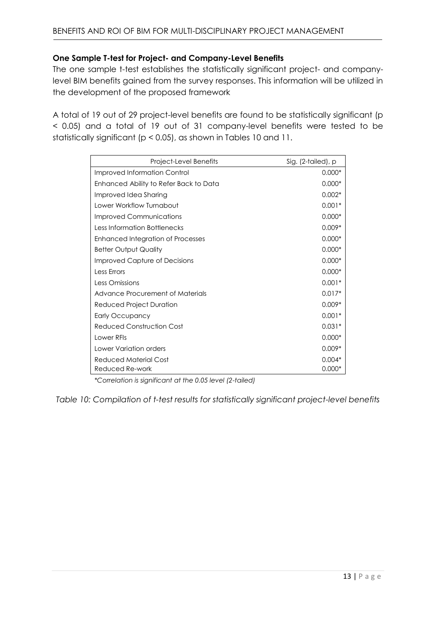# **One Sample T-test for Project- and Company-Level Benefits**

The one sample t-test establishes the statistically significant project- and companylevel BIM benefits gained from the survey responses. This information will be utilized in the development of the proposed framework

A total of 19 out of 29 project-level benefits are found to be statistically significant (p < 0.05) and a total of 19 out of 31 company-level benefits were tested to be statistically significant (p < 0.05), as shown in Tables 10 and 11.

| Project-Level Benefits                 | Sig. (2-tailed), p |
|----------------------------------------|--------------------|
| <b>Improved Information Control</b>    | $0.000*$           |
| Enhanced Ability to Refer Back to Data | $0.000*$           |
| Improved Idea Sharing                  | $0.002*$           |
| Lower Workflow Turnabout               | $0.001*$           |
| Improved Communications                | $0.000*$           |
| Less Information Bottlenecks           | $0.009*$           |
| Enhanced Integration of Processes      | $0.000*$           |
| <b>Better Output Quality</b>           | $0.000*$           |
| Improved Capture of Decisions          | $0.000*$           |
| Less Errors                            | $0.000*$           |
| Less Omissions                         | $0.001*$           |
| Advance Procurement of Materials       | $0.017*$           |
| Reduced Project Duration               | $0.009*$           |
| Early Occupancy                        | $0.001*$           |
| Reduced Construction Cost              | $0.031*$           |
| Lower RFIs                             | $0.000*$           |
| Lower Variation orders                 | $0.009*$           |
| Reduced Material Cost                  | $0.004*$           |
| Reduced Re-work                        | $0.000*$           |

*\*Correlation is significant at the 0.05 level (2-tailed)*

*Table 10: Compilation of t-test results for statistically significant project-level benefits*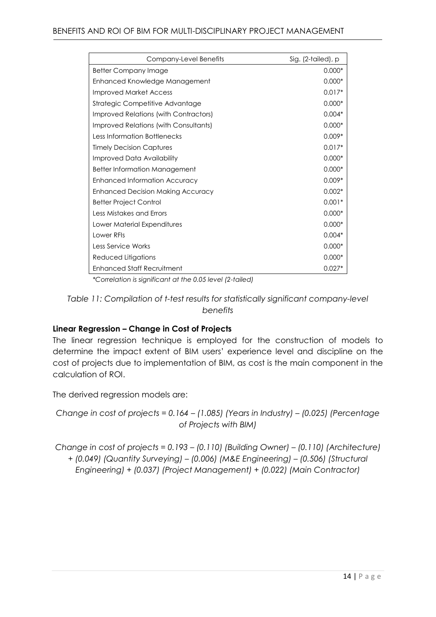| Company-Level Benefits                | Sig. (2-tailed), p |
|---------------------------------------|--------------------|
| <b>Better Company Image</b>           | $0.000*$           |
| Enhanced Knowledge Management         | $0.000*$           |
| Improved Market Access                | $0.017*$           |
| Strategic Competitive Advantage       | $0.000*$           |
| Improved Relations (with Contractors) | $0.004*$           |
| Improved Relations (with Consultants) | $0.000*$           |
| <b>Less Information Bottlenecks</b>   | $0.009*$           |
| <b>Timely Decision Captures</b>       | $0.017*$           |
| Improved Data Availability            | $0.000*$           |
| <b>Better Information Management</b>  | $0.000*$           |
| <b>Enhanced Information Accuracy</b>  | $0.009*$           |
| Enhanced Decision Making Accuracy     | $0.002*$           |
| <b>Better Project Control</b>         | $0.001*$           |
| Less Mistakes and Errors              | $0.000*$           |
| Lower Material Expenditures           | $0.000*$           |
| Lower RFIs                            | $0.004*$           |
| Less Service Works                    | $0.000*$           |
| Reduced Litigations                   | $0.000*$           |
| <b>Enhanced Staff Recruitment</b>     | $0.027*$           |

*\*Correlation is significant at the 0.05 level (2-tailed)*

*Table 11: Compilation of t-test results for statistically significant company-level benefits*

# **Linear Regression – Change in Cost of Projects**

The linear regression technique is employed for the construction of models to determine the impact extent of BIM users' experience level and discipline on the cost of projects due to implementation of BIM, as cost is the main component in the calculation of ROI.

The derived regression models are:

*Change in cost of projects = 0.164 – (1.085) (Years in Industry) – (0.025) (Percentage of Projects with BIM)*

*Change in cost of projects = 0.193 – (0.110) (Building Owner) – (0.110) (Architecture) + (0.049) (Quantity Surveying) – (0.006) (M&E Engineering) – (0.506) (Structural Engineering) + (0.037) (Project Management) + (0.022) (Main Contractor)*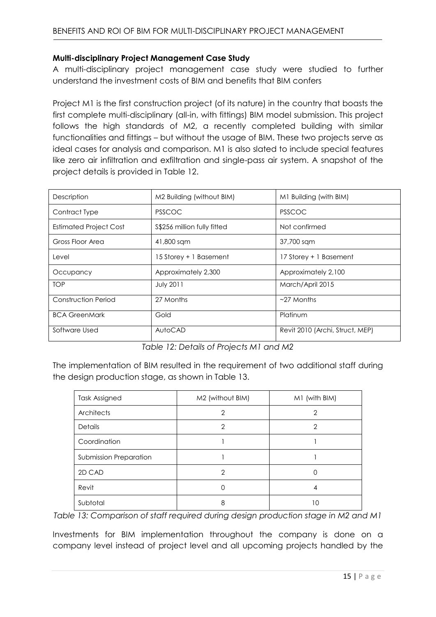#### **Multi-disciplinary Project Management Case Study**

A multi-disciplinary project management case study were studied to further understand the investment costs of BIM and benefits that BIM confers

Project M1 is the first construction project (of its nature) in the country that boasts the first complete multi-disciplinary (all-in, with fittings) BIM model submission. This project follows the high standards of M2, a recently completed building with similar functionalities and fittings – but without the usage of BIM. These two projects serve as ideal cases for analysis and comparison. M1 is also slated to include special features like zero air infiltration and exfiltration and single-pass air system. A snapshot of the project details is provided in Table 12.

| Description                   | M2 Building (without BIM)    | M1 Building (with BIM)          |
|-------------------------------|------------------------------|---------------------------------|
| Contract Type                 | <b>PSSCOC</b>                | <b>PSSCOC</b>                   |
| <b>Estimated Project Cost</b> | \$\$256 million fully fitted | Not confirmed                   |
| Gross Floor Area              | 41,800 sqm                   | 37,700 sqm                      |
| Level                         | 15 Storey + 1 Basement       | 17 Storey + 1 Basement          |
| Occupancy                     | Approximately 2,300          | Approximately 2,100             |
| <b>TOP</b>                    | <b>July 2011</b>             | March/April 2015                |
| Construction Period           | 27 Months                    | $\sim$ 27 Months                |
| <b>BCA GreenMark</b>          | Gold                         | Platinum                        |
| Software Used                 | AutoCAD                      | Revit 2010 (Archi, Struct, MEP) |

*Table 12: Details of Projects M1 and M2*

The implementation of BIM resulted in the requirement of two additional staff during the design production stage, as shown in Table 13.

| Task Assigned          | M2 (without BIM) | M1 (with BIM)  |
|------------------------|------------------|----------------|
| Architects             | 2                | $\overline{2}$ |
| <b>Details</b>         | 2                | $\overline{2}$ |
| Coordination           |                  |                |
| Submission Preparation |                  |                |
| 2D CAD                 | 2                | 0              |
| Revit                  |                  | 4              |
| Subtotal               | 8                | 10             |

*Table 13: Comparison of staff required during design production stage in M2 and M1*

Investments for BIM implementation throughout the company is done on a company level instead of project level and all upcoming projects handled by the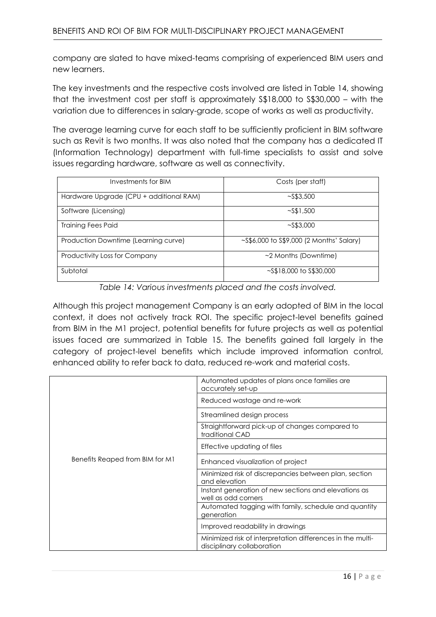company are slated to have mixed-teams comprising of experienced BIM users and new learners.

The key investments and the respective costs involved are listed in Table 14, showing that the investment cost per staff is approximately S\$18,000 to S\$30,000 – with the variation due to differences in salary-grade, scope of works as well as productivity.

The average learning curve for each staff to be sufficiently proficient in BIM software such as Revit is two months. It was also noted that the company has a dedicated IT (Information Technology) department with full-time specialists to assist and solve issues regarding hardware, software as well as connectivity.

| Investments for BIM                     | Costs (per staff)                              |
|-----------------------------------------|------------------------------------------------|
| Hardware Upgrade (CPU + additional RAM) | $\sim$ S\$3,500                                |
| Software (Licensing)                    | $\sim$ S\$1,500                                |
| <b>Training Fees Paid</b>               | $\sim$ S\$3,000                                |
| Production Downtime (Learning curve)    | $\sim$ S\$6,000 to S\$9,000 (2 Months' Salary) |
| Productivity Loss for Company           | $\sim$ 2 Months (Downtime)                     |
| Subtotal                                | $\sim$ S\$18,000 to S\$30,000                  |

*Table 14: Various investments placed and the costs involved.* 

Although this project management Company is an early adopted of BIM in the local context, it does not actively track ROI. The specific project-level benefits gained from BIM in the M1 project, potential benefits for future projects as well as potential issues faced are summarized in Table 15. The benefits gained fall largely in the category of project-level benefits which include improved information control, enhanced ability to refer back to data, reduced re-work and material costs.

|                                 | Automated updates of plans once families are<br>accurately set-up                        |
|---------------------------------|------------------------------------------------------------------------------------------|
|                                 | Reduced wastage and re-work                                                              |
|                                 | Streamlined design process                                                               |
|                                 | Straightforward pick-up of changes compared to<br>traditional CAD                        |
|                                 | Effective updating of files                                                              |
| Benefits Reaped from BIM for M1 | Enhanced visualization of project                                                        |
|                                 | Minimized risk of discrepancies between plan, section<br>and elevation                   |
|                                 | Instant generation of new sections and elevations as<br>well as odd corners              |
|                                 | Automated tagging with family, schedule and quantity<br>generation                       |
|                                 | Improved readability in drawings                                                         |
|                                 | Minimized risk of interpretation differences in the multi-<br>disciplinary collaboration |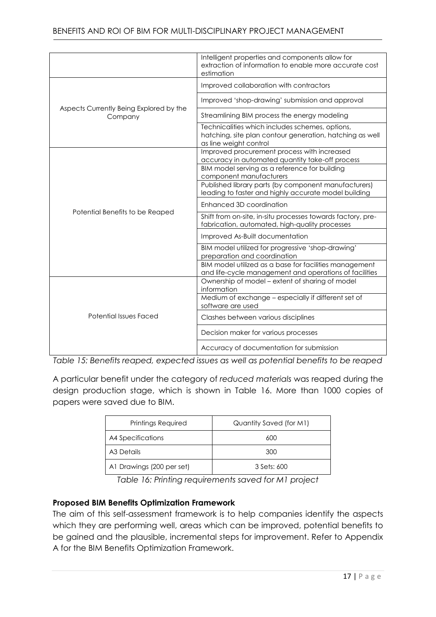|                                                    | Intelligent properties and components allow for<br>extraction of information to enable more accurate cost<br>estimation               |
|----------------------------------------------------|---------------------------------------------------------------------------------------------------------------------------------------|
|                                                    | Improved collaboration with contractors                                                                                               |
|                                                    | Improved 'shop-drawing' submission and approval                                                                                       |
| Aspects Currently Being Explored by the<br>Company | Streamlining BIM process the energy modeling                                                                                          |
|                                                    | Technicalities which includes schemes, options,<br>hatching, site plan contour generation, hatching as well<br>as line weight control |
|                                                    | Improved procurement process with increased<br>accuracy in automated quantity take-off process                                        |
|                                                    | BIM model serving as a reference for building<br>component manufacturers                                                              |
|                                                    | Published library parts (by component manufacturers)<br>leading to faster and highly accurate model building                          |
|                                                    | Enhanced 3D coordination                                                                                                              |
| Potential Benefits to be Reaped                    | Shift from on-site, in-situ processes towards factory, pre-<br>fabrication, automated, high-quality processes                         |
|                                                    | Improved As-Built documentation                                                                                                       |
|                                                    | BIM model utilized for progressive 'shop-drawing'<br>preparation and coordination                                                     |
|                                                    | BIM model utilized as a base for facilities management<br>and life-cycle management and operations of facilities                      |
|                                                    | Ownership of model - extent of sharing of model<br>information                                                                        |
| <b>Potential Issues Faced</b>                      | Medium of exchange - especially if different set of<br>software are used                                                              |
|                                                    | Clashes between various disciplines                                                                                                   |
|                                                    | Decision maker for various processes                                                                                                  |
|                                                    | Accuracy of documentation for submission                                                                                              |

*Table 15: Benefits reaped, expected issues as well as potential benefits to be reaped* 

A particular benefit under the category of *reduced materials* was reaped during the design production stage, which is shown in Table 16. More than 1000 copies of papers were saved due to BIM.

| Printings Required        | Quantity Saved (for M1) |
|---------------------------|-------------------------|
| A4 Specifications         | 600                     |
| A3 Details                | 300                     |
| A1 Drawings (200 per set) | 3 Sets: 600             |

*Table 16: Printing requirements saved for M1 project*

# **Proposed BIM Benefits Optimization Framework**

The aim of this self-assessment framework is to help companies identify the aspects which they are performing well, areas which can be improved, potential benefits to be gained and the plausible, incremental steps for improvement. Refer to Appendix A for the BIM Benefits Optimization Framework.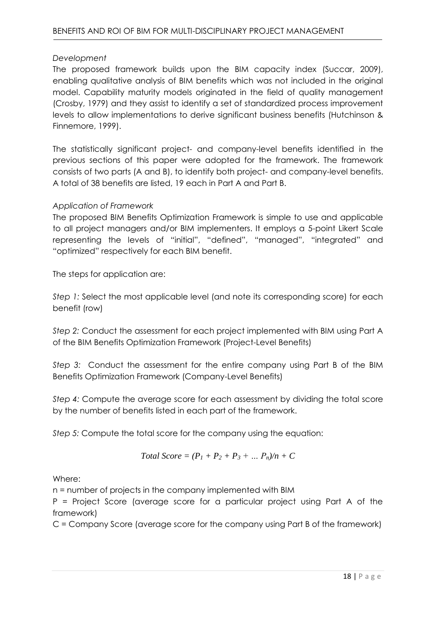# *Development*

The proposed framework builds upon the BIM capacity index (Succar, 2009), enabling qualitative analysis of BIM benefits which was not included in the original model. Capability maturity models originated in the field of quality management (Crosby, 1979) and they assist to identify a set of standardized process improvement levels to allow implementations to derive significant business benefits (Hutchinson & Finnemore, 1999).

The statistically significant project- and company-level benefits identified in the previous sections of this paper were adopted for the framework. The framework consists of two parts (A and B), to identify both project- and company-level benefits. A total of 38 benefits are listed, 19 each in Part A and Part B.

# *Application of Framework*

The proposed BIM Benefits Optimization Framework is simple to use and applicable to all project managers and/or BIM implementers. It employs a 5-point Likert Scale representing the levels of "initial", "defined", "managed", "integrated" and "optimized" respectively for each BIM benefit.

The steps for application are:

*Step 1:* Select the most applicable level (and note its corresponding score) for each benefit (row)

*Step 2:* Conduct the assessment for each project implemented with BIM using Part A of the BIM Benefits Optimization Framework (Project-Level Benefits)

*Step 3:* Conduct the assessment for the entire company using Part B of the BIM Benefits Optimization Framework (Company-Level Benefits)

*Step 4:* Compute the average score for each assessment by dividing the total score by the number of benefits listed in each part of the framework.

*Step 5:* Compute the total score for the company using the equation:

Total Score = 
$$
(P_1 + P_2 + P_3 + ... P_n)/n + C
$$

Where:

n = number of projects in the company implemented with BIM

P = Project Score (average score for a particular project using Part A of the framework)

C = Company Score (average score for the company using Part B of the framework)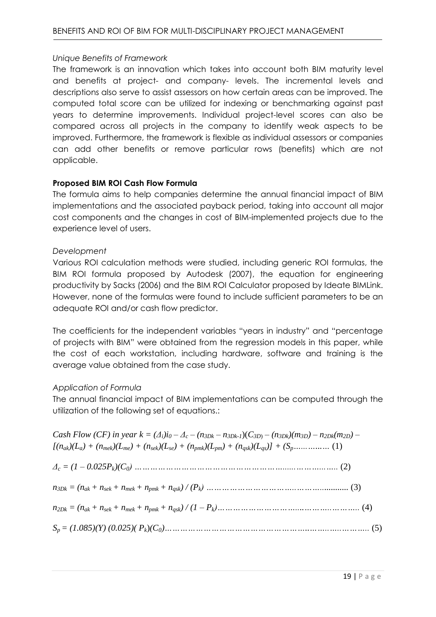# *Unique Benefits of Framework*

The framework is an innovation which takes into account both BIM maturity level and benefits at project- and company- levels. The incremental levels and descriptions also serve to assist assessors on how certain areas can be improved. The computed total score can be utilized for indexing or benchmarking against past years to determine improvements. Individual project-level scores can also be compared across all projects in the company to identify weak aspects to be improved. Furthermore, the framework is flexible as individual assessors or companies can add other benefits or remove particular rows (benefits) which are not applicable.

# **Proposed BIM ROI Cash Flow Formula**

The formula aims to help companies determine the annual financial impact of BIM implementations and the associated payback period, taking into account all major cost components and the changes in cost of BIM-implemented projects due to the experience level of users.

### *Development*

Various ROI calculation methods were studied, including generic ROI formulas, the BIM ROI formula proposed by Autodesk (2007), the equation for engineering productivity by Sacks (2006) and the BIM ROI Calculator proposed by Ideate BIMLink. However, none of the formulas were found to include sufficient parameters to be an adequate ROI and/or cash flow predictor.

The coefficients for the independent variables "years in industry" and "percentage of projects with BIM" were obtained from the regression models in this paper, while the cost of each workstation, including hardware, software and training is the average value obtained from the case study.

# *Application of Formula*

The annual financial impact of BIM implementations can be computed through the utilization of the following set of equations.:

Cash Flow (CF) in year  $k = (A_i)i_0 - A_c - (n_{3Dk} - n_{3Dk-1})(C_{3D} - (n_{3Dk})(m_{3D}) - n_{2Dk}(m_{2D}) [(n_{ak})(L_a) + (n_{mek})(L_{me}) + (n_{sek})(L_{se}) + (n_{pmk})(L_{pm}) + (n_{ask})(L_{as})] + (S_n, \ldots, \ldots, \ldots, (1))$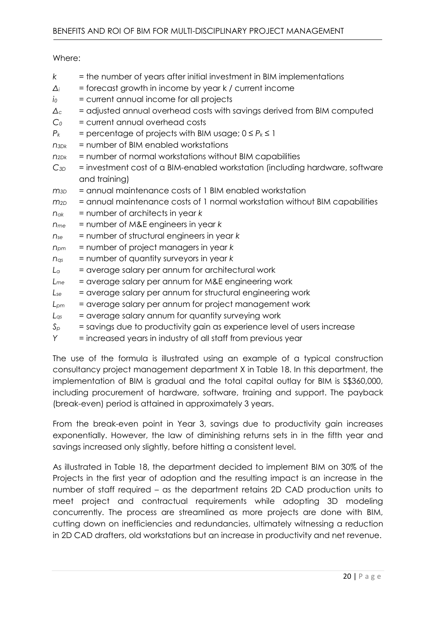Where:

- *k* = the number of years after initial investment in BIM implementations *Δ<sup>i</sup>* = forecast growth in income by year k / current income *i<sup>0</sup>* = current annual income for all projects *Δc* = adjusted annual overhead costs with savings derived from BIM computed *C<sup>0</sup>* = current annual overhead costs  $P_k$  = percentage of projects with BIM usage;  $0 \le P_k \le 1$ *n3Dk* = number of BIM enabled workstations *n2Dk* = number of normal workstations without BIM capabilities *C3D* = investment cost of a BIM-enabled workstation (including hardware, software and training) *m3D* = annual maintenance costs of 1 BIM enabled workstation  $m_{2D}$  = annual maintenance costs of 1 normal workstation without BIM capabilities *nak* = number of architects in year *k nme* = number of M&E engineers in year *k nse* = number of structural engineers in year *k npm* = number of project managers in year *k nqs* = number of quantity surveyors in year *k L<sup>a</sup>* = average salary per annum for architectural work *Lme* = average salary per annum for M&E engineering work *Lse* = average salary per annum for structural engineering work *Lpm* = average salary per annum for project management work *Lqs* = average salary annum for quantity surveying work  $S_p$  = savings due to productivity gain as experience level of users increase
- *Y* = increased years in industry of all staff from previous year

The use of the formula is illustrated using an example of a typical construction consultancy project management department X in Table 18. In this department, the implementation of BIM is gradual and the total capital outlay for BIM is S\$360,000, including procurement of hardware, software, training and support. The payback (break-even) period is attained in approximately 3 years.

From the break-even point in Year 3, savings due to productivity gain increases exponentially. However, the law of diminishing returns sets in in the fifth year and savings increased only slightly, before hitting a consistent level.

As illustrated in Table 18, the department decided to implement BIM on 30% of the Projects in the first year of adoption and the resulting impact is an increase in the number of staff required – as the department retains 2D CAD production units to meet project and contractual requirements while adopting 3D modeling concurrently. The process are streamlined as more projects are done with BIM, cutting down on inefficiencies and redundancies, ultimately witnessing a reduction in 2D CAD drafters, old workstations but an increase in productivity and net revenue.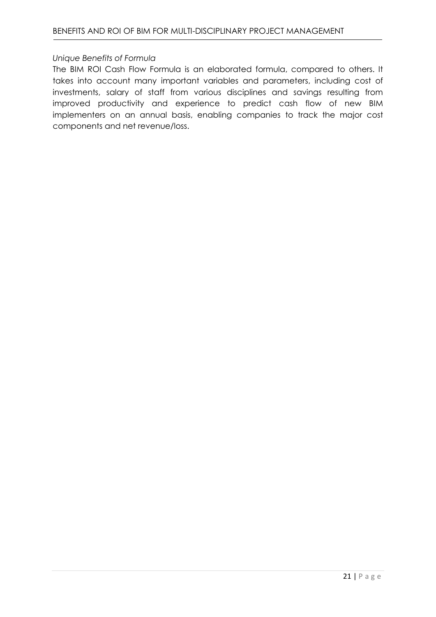#### *Unique Benefits of Formula*

The BIM ROI Cash Flow Formula is an elaborated formula, compared to others. It takes into account many important variables and parameters, including cost of investments, salary of staff from various disciplines and savings resulting from improved productivity and experience to predict cash flow of new BIM implementers on an annual basis, enabling companies to track the major cost components and net revenue/loss.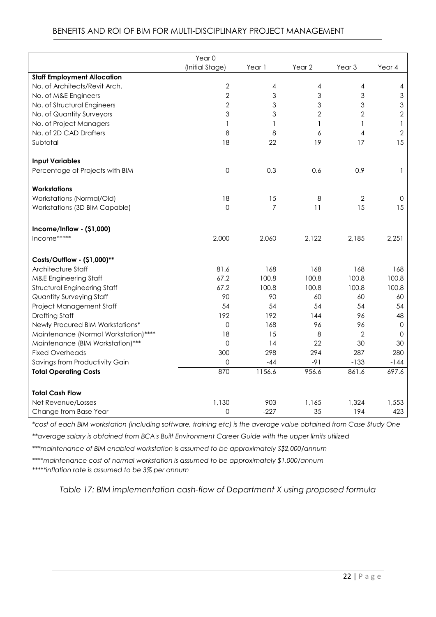|                                      | Year 0          |                 |                   |                   |              |
|--------------------------------------|-----------------|-----------------|-------------------|-------------------|--------------|
|                                      | (Initial Stage) | Year 1          | Year <sub>2</sub> | Year <sub>3</sub> | Year 4       |
| <b>Staff Employment Allocation</b>   |                 |                 |                   |                   |              |
| No. of Architects/Revit Arch.        | 2               | 4               | $\overline{4}$    | 4                 | 4            |
| No. of M&E Engineers                 | $\overline{2}$  | 3               | 3                 | $\mathfrak{S}$    | 3            |
| No. of Structural Engineers          | $\overline{2}$  | 3               | 3                 | 3                 | 3            |
| No. of Quantity Surveyors            | 3               | 3               | $\mathbf{2}$      | $\overline{2}$    | $\mathbf{2}$ |
| No. of Project Managers              | $\mathbf{1}$    | 1               | 1                 | $\mathbf{1}$      | 1            |
| No. of 2D CAD Drafters               | 8               | 8               | 6                 | $\overline{4}$    | $\mathbf{2}$ |
| Subtotal                             | $\overline{18}$ | $\overline{22}$ | $\overline{19}$   | 17                | 15           |
| <b>Input Variables</b>               |                 |                 |                   |                   |              |
| Percentage of Projects with BIM      | $\mathsf O$     | 0.3             | 0.6               | 0.9               | 1            |
| <b>Workstations</b>                  |                 |                 |                   |                   |              |
| Workstations (Normal/Old)            | 18              | 15              | 8                 | $\mathbf{2}$      | 0            |
| Workstations (3D BIM Capable)        | $\overline{0}$  | $\overline{7}$  | 11                | 15                | 15           |
| $Income/Inflow - ($1,000)$           |                 |                 |                   |                   |              |
| Income*****                          | 2,000           | 2,060           | 2,122             | 2,185             | 2,251        |
| Costs/Outflow - (\$1,000)**          |                 |                 |                   |                   |              |
| Architecture Staff                   | 81.6            | 168             | 168               | 168               | 168          |
| <b>M&amp;E Engineering Staff</b>     | 67.2            | 100.8           | 100.8             | 100.8             | 100.8        |
| Structural Engineering Staff         | 67.2            | 100.8           | 100.8             | 100.8             | 100.8        |
| <b>Quantity Surveying Staff</b>      | 90              | 90              | 60                | 60                | 60           |
| Project Management Staff             | 54              | 54              | 54                | 54                | 54           |
| <b>Drafting Staff</b>                | 192             | 192             | 144               | 96                | 48           |
| Newly Procured BIM Workstations*     | 0               | 168             | 96                | 96                | $\mathbf 0$  |
| Maintenance (Normal Workstation)**** | 18              | 15              | 8                 | 2                 | 0            |
| Maintenance (BIM Workstation)***     | 0               | 14              | 22                | 30                | 30           |
| <b>Fixed Overheads</b>               | 300             | 298             | 294               | 287               | 280          |
| Savings from Productivity Gain       | 0               | $-44$           | $-91$             | $-133$            | $-144$       |
| <b>Total Operating Costs</b>         | 870             | 1156.6          | 956.6             | 861.6             | 697.6        |
| <b>Total Cash Flow</b>               |                 |                 |                   |                   |              |
| Net Revenue/Losses                   | 1,130           | 903             | 1,165             | 1,324             | 1,553        |
| Change from Base Year                | 0               | $-227$          | 35                | 194               | 423          |

# BENEFITS AND ROI OF BIM FOR MULTI-DISCIPLINARY PROJECT MANAGEMENT

*\*cost of each BIM workstation (including software, training etc) is the average value obtained from Case Study One*

*\*\*average salary is obtained from BCA's Built Environment Career Guide with the upper limits utilized*

*\*\*\*maintenance of BIM enabled workstation is assumed to be approximately S\$2,000/annum*

*\*\*\*\*maintenance cost of normal workstation is assumed to be approximately \$1,000/annum*

*\*\*\*\*\*inflation rate is assumed to be 3% per annum*

*Table 17: BIM implementation cash-flow of Department X using proposed formula*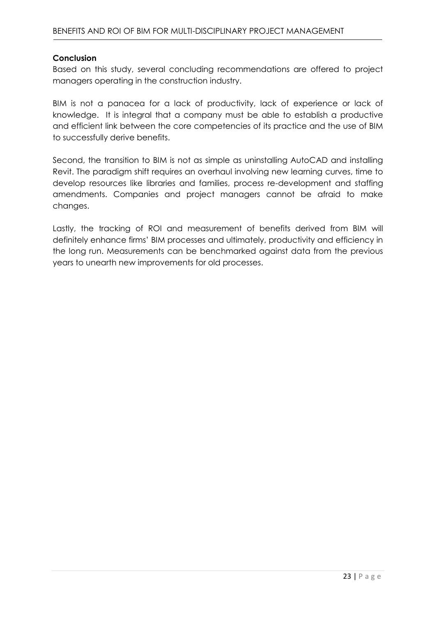#### **Conclusion**

Based on this study, several concluding recommendations are offered to project managers operating in the construction industry.

BIM is not a panacea for a lack of productivity, lack of experience or lack of knowledge. It is integral that a company must be able to establish a productive and efficient link between the core competencies of its practice and the use of BIM to successfully derive benefits.

Second, the transition to BIM is not as simple as uninstalling AutoCAD and installing Revit. The paradigm shift requires an overhaul involving new learning curves, time to develop resources like libraries and families, process re-development and staffing amendments. Companies and project managers cannot be afraid to make changes.

Lastly, the tracking of ROI and measurement of benefits derived from BIM will definitely enhance firms' BIM processes and ultimately, productivity and efficiency in the long run. Measurements can be benchmarked against data from the previous years to unearth new improvements for old processes.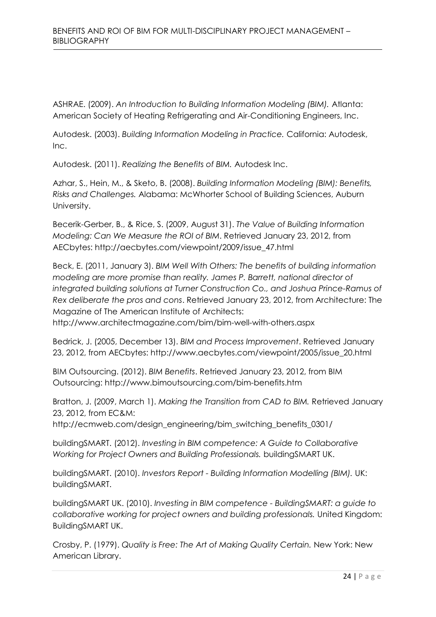ASHRAE. (2009). *An Introduction to Building Information Modeling (BIM).* Atlanta: American Society of Heating Refrigerating and Air-Conditioning Engineers, Inc.

Autodesk. (2003). *Building Information Modeling in Practice.* California: Autodesk, Inc.

Autodesk. (2011). *Realizing the Benefits of BIM.* Autodesk Inc.

Azhar, S., Hein, M., & Sketo, B. (2008). *Building Information Modeling (BIM): Benefits, Risks and Challenges.* Alabama: McWhorter School of Building Sciences, Auburn University.

Becerik-Gerber, B., & Rice, S. (2009, August 31). *The Value of Building Information Modeling: Can We Measure the ROI of BIM*. Retrieved January 23, 2012, from AECbytes: http://aecbytes.com/viewpoint/2009/issue\_47.html

Beck, E. (2011, January 3). *BIM Well With Others: The benefits of building information modeling are more promise than reality. James P. Barrett, national director of integrated building solutions at Turner Construction Co., and Joshua Prince-Ramus of Rex deliberate the pros and cons*. Retrieved January 23, 2012, from Architecture: The Magazine of The American Institute of Architects:

http://www.architectmagazine.com/bim/bim-well-with-others.aspx

Bedrick, J. (2005, December 13). *BIM and Process Improvement*. Retrieved January 23, 2012, from AECbytes: http://www.aecbytes.com/viewpoint/2005/issue\_20.html

BIM Outsourcing. (2012). *BIM Benefits*. Retrieved January 23, 2012, from BIM Outsourcing: http://www.bimoutsourcing.com/bim-benefits.htm

Bratton, J. (2009, March 1). *Making the Transition from CAD to BIM.* Retrieved January 23, 2012, from EC&M:

http://ecmweb.com/design\_engineering/bim\_switching\_benefits\_0301/

buildingSMART. (2012). *Investing in BIM competence: A Guide to Collaborative Working for Project Owners and Building Professionals.* buildingSMART UK.

buildingSMART. (2010). *Investors Report - Building Information Modelling (BIM).* UK: buildingSMART.

buildingSMART UK. (2010). *Investing in BIM competence - BuildingSMART: a guide to collaborative working for project owners and building professionals.* United Kingdom: BuildingSMART UK.

Crosby, P. (1979). *Quality is Free: The Art of Making Quality Certain.* New York: New American Library.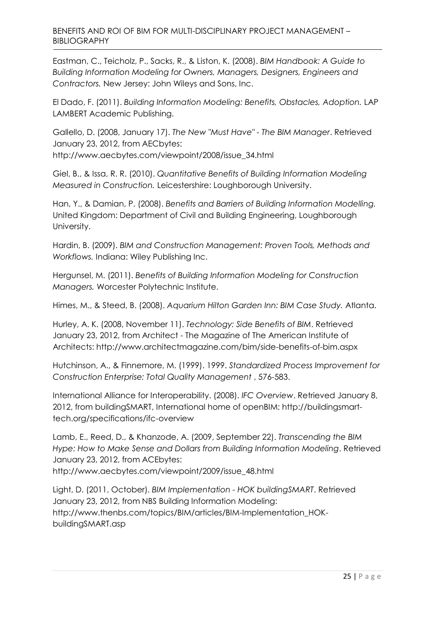Eastman, C., Teicholz, P., Sacks, R., & Liston, K. (2008). *BIM Handbook: A Guide to Building Information Modeling for Owners, Managers, Designers, Engineers and Contractors.* New Jersey: John Wileys and Sons, Inc.

El Dado, F. (2011). *Building Information Modeling: Benefits, Obstacles, Adoption.* LAP LAMBERT Academic Publishing.

Gallello, D. (2008, January 17). *The New "Must Have" - The BIM Manager*. Retrieved January 23, 2012, from AECbytes: http://www.aecbytes.com/viewpoint/2008/issue\_34.html

Giel, B., & Issa, R. R. (2010). *Quantitative Benefits of Building Information Modeling Measured in Construction.* Leicestershire: Loughborough University.

Han, Y., & Damian, P. (2008). *Benefits and Barriers of Building Information Modelling.* United Kingdom: Department of Civil and Building Engineering, Loughborough University.

Hardin, B. (2009). *BIM and Construction Management: Proven Tools, Methods and Workflows.* Indiana: Wiley Publishing Inc.

Hergunsel, M. (2011). *Benefits of Building Information Modeling for Construction Managers.* Worcester Polytechnic Institute.

Himes, M., & Steed, B. (2008). *Aquarium Hilton Garden Inn: BIM Case Study.* Atlanta.

Hurley, A. K. (2008, November 11). *Technology: Side Benefits of BIM*. Retrieved January 23, 2012, from Architect - The Magazine of The American Institute of Architects: http://www.architectmagazine.com/bim/side-benefits-of-bim.aspx

Hutchinson, A., & Finnemore, M. (1999). 1999. *Standardized Process Improvement for Construction Enterprise: Total Quality Management* , 576-583.

International Alliance for Interoperability. (2008). *IFC Overview*. Retrieved January 8, 2012, from buildingSMART, International home of openBIM: http://buildingsmarttech.org/specifications/ifc-overview

Lamb, E., Reed, D., & Khanzode, A. (2009, September 22). *Transcending the BIM Hype: How to Make Sense and Dollars from Building Information Modeling*. Retrieved January 23, 2012, from ACEbytes: http://www.aecbytes.com/viewpoint/2009/issue\_48.html

Light, D. (2011, October). *BIM Implementation - HOK buildingSMART*. Retrieved January 23, 2012, from NBS Building Information Modeling: http://www.thenbs.com/topics/BIM/articles/BIM-Implementation\_HOKbuildingSMART.asp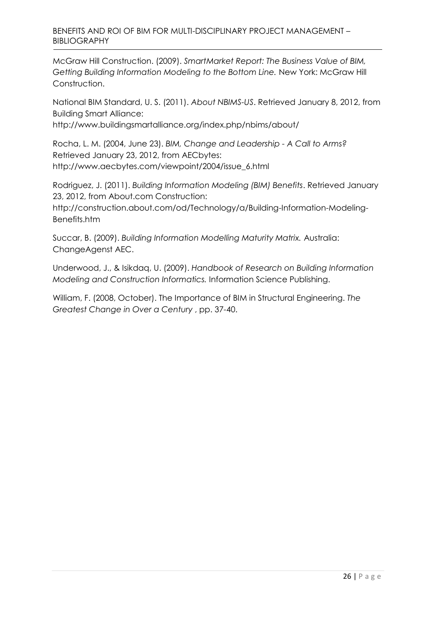### BENEFITS AND ROI OF BIM FOR MULTI-DISCIPLINARY PROJECT MANAGEMENT – BIBLIOGRAPHY

McGraw Hill Construction. (2009). *SmartMarket Report: The Business Value of BIM, Getting Building Information Modeling to the Bottom Line.* New York: McGraw Hill Construction.

National BIM Standard, U. S. (2011). *About NBIMS-US*. Retrieved January 8, 2012, from Building Smart Alliance:

http://www.buildingsmartalliance.org/index.php/nbims/about/

Rocha, L. M. (2004, June 23). *BIM, Change and Leadership - A Call to Arms?* Retrieved January 23, 2012, from AECbytes: http://www.aecbytes.com/viewpoint/2004/issue\_6.html

Rodriguez, J. (2011). *Building Information Modeling (BIM) Benefits*. Retrieved January 23, 2012, from About.com Construction:

http://construction.about.com/od/Technology/a/Building-Information-Modeling-Benefits.htm

Succar, B. (2009). *Building Information Modelling Maturity Matrix.* Australia: ChangeAgenst AEC.

Underwood, J., & Isikdaq, U. (2009). *Handbook of Research on Building Information Modeling and Construction Informatics.* Information Science Publishing.

William, F. (2008, October). The Importance of BIM in Structural Engineering. *The Greatest Change in Over a Century* , pp. 37-40.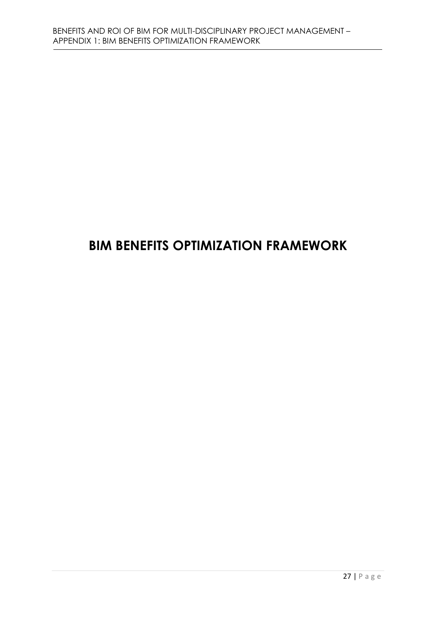# **BIM BENEFITS OPTIMIZATION FRAMEWORK**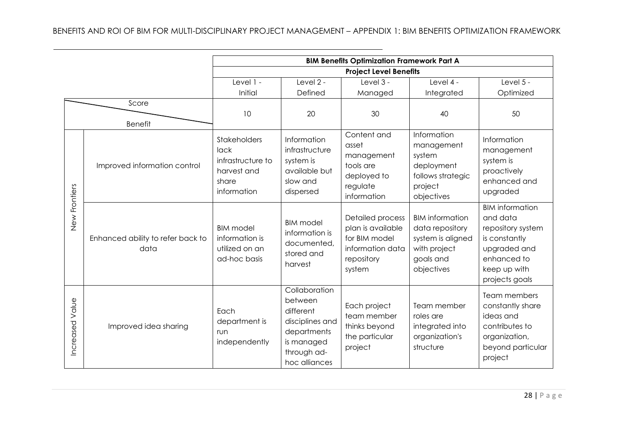|                 |                                           |                                                                                  |                                                                                                                       | <b>BIM Benefits Optimization Framework Part A</b>                                                         |                                                                                                           |                                                                                                                                           |
|-----------------|-------------------------------------------|----------------------------------------------------------------------------------|-----------------------------------------------------------------------------------------------------------------------|-----------------------------------------------------------------------------------------------------------|-----------------------------------------------------------------------------------------------------------|-------------------------------------------------------------------------------------------------------------------------------------------|
|                 |                                           |                                                                                  |                                                                                                                       | <b>Project Level Benefits</b>                                                                             |                                                                                                           |                                                                                                                                           |
|                 |                                           | Level 1 -                                                                        | Level $2 -$                                                                                                           | Level 3 -                                                                                                 | Level 4 -                                                                                                 | Level $5 -$                                                                                                                               |
|                 |                                           | Initial                                                                          | Defined                                                                                                               | Managed                                                                                                   | Integrated                                                                                                | Optimized                                                                                                                                 |
|                 | Score<br><b>Benefit</b>                   | 10                                                                               | 20                                                                                                                    | 30                                                                                                        | 40                                                                                                        | 50                                                                                                                                        |
|                 | Improved information control              | Stakeholders<br>lack<br>infrastructure to<br>harvest and<br>share<br>information | Information<br>infrastructure<br>system is<br>available but<br>slow and<br>dispersed                                  | Content and<br>asset<br>management<br>tools are<br>deployed to<br>regulate<br>information                 | Information<br>management<br>system<br>deployment<br>follows strategic<br>project<br>objectives           | Information<br>management<br>system is<br>proactively<br>enhanced and<br>upgraded                                                         |
| New Frontiers   | Enhanced ability to refer back to<br>data | <b>BIM</b> model<br>information is<br>utilized on an<br>ad-hoc basis             | <b>BIM</b> model<br>information is<br>documented,<br>stored and<br>harvest                                            | <b>Detailed process</b><br>plan is available<br>for BIM model<br>information data<br>repository<br>system | <b>BIM</b> information<br>data repository<br>system is aligned<br>with project<br>goals and<br>objectives | <b>BIM</b> information<br>and data<br>repository system<br>is constantly<br>upgraded and<br>enhanced to<br>keep up with<br>projects goals |
| Increased Value | Improved idea sharing                     | Each<br>department is<br>run<br>independently                                    | Collaboration<br>between<br>different<br>disciplines and<br>departments<br>is managed<br>through ad-<br>hoc alliances | Each project<br>team member<br>thinks beyond<br>the particular<br>project                                 | Team member<br>roles are<br>integrated into<br>organization's<br>structure                                | Team members<br>constantly share<br>ideas and<br>contributes to<br>organization,<br>beyond particular<br>project                          |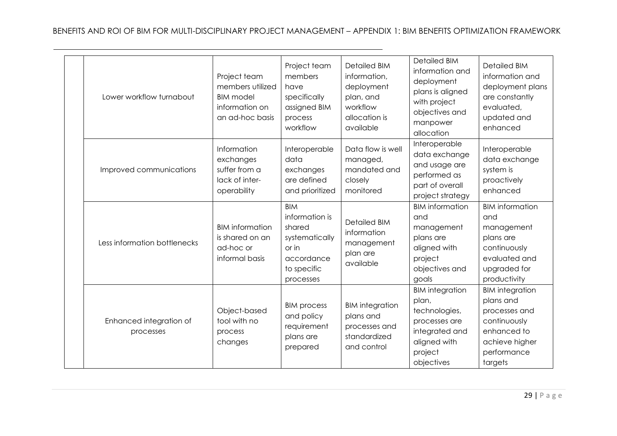| Lower workflow turnabout             | Project team<br>members utilized<br><b>BIM</b> model<br>information on<br>an ad-hoc basis | Project team<br>members<br>have<br>specifically<br>assigned BIM<br>process<br>workflow                      | <b>Detailed BIM</b><br>information,<br>deployment<br>plan, and<br>workflow<br>allocation is<br>available | <b>Detailed BIM</b><br>information and<br>deployment<br>plans is aligned<br>with project<br>objectives and<br>manpower<br>allocation | <b>Detailed BIM</b><br>information and<br>deployment plans<br>are constantly<br>evaluated,<br>updated and<br>enhanced           |
|--------------------------------------|-------------------------------------------------------------------------------------------|-------------------------------------------------------------------------------------------------------------|----------------------------------------------------------------------------------------------------------|--------------------------------------------------------------------------------------------------------------------------------------|---------------------------------------------------------------------------------------------------------------------------------|
| Improved communications              | Information<br>exchanges<br>suffer from a<br>lack of inter-<br>operability                | Interoperable<br>data<br>exchanges<br>are defined<br>and prioritized                                        | Data flow is well<br>managed,<br>mandated and<br>closely<br>monitored                                    | Interoperable<br>data exchange<br>and usage are<br>performed as<br>part of overall<br>project strategy                               | Interoperable<br>data exchange<br>system is<br>proactively<br>enhanced                                                          |
| Less information bottlenecks         | <b>BIM</b> information<br>is shared on an<br>ad-hoc or<br>informal basis                  | <b>BIM</b><br>information is<br>shared<br>systematically<br>or in<br>accordance<br>to specific<br>processes | <b>Detailed BIM</b><br>information<br>management<br>plan are<br>available                                | <b>BIM</b> information<br>and<br>management<br>plans are<br>aligned with<br>project<br>objectives and<br>goals                       | <b>BIM</b> information<br>and<br>management<br>plans are<br>continuously<br>evaluated and<br>upgraded for<br>productivity       |
| Enhanced integration of<br>processes | Object-based<br>tool with no<br>process<br>changes                                        | <b>BIM</b> process<br>and policy<br>requirement<br>plans are<br>prepared                                    | <b>BIM</b> integration<br>plans and<br>processes and<br>standardized<br>and control                      | <b>BIM</b> integration<br>plan,<br>technologies,<br>processes are<br>integrated and<br>aligned with<br>project<br>objectives         | <b>BIM</b> integration<br>plans and<br>processes and<br>continuously<br>enhanced to<br>achieve higher<br>performance<br>targets |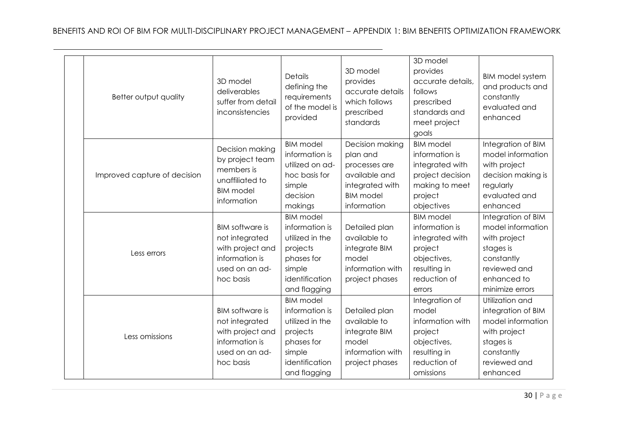| Better output quality        | 3D model<br>deliverables<br>suffer from detail<br>inconsistencies                                             | <b>Details</b><br>defining the<br>requirements<br>of the model is<br>provided                                               | 3D model<br>provides<br>accurate details<br>which follows<br>prescribed<br>standards                                | 3D model<br>provides<br>accurate details.<br>follows<br>prescribed<br>standards and<br>meet project<br>goals              | <b>BIM model system</b><br>and products and<br>constantly<br>evaluated and<br>enhanced                                               |
|------------------------------|---------------------------------------------------------------------------------------------------------------|-----------------------------------------------------------------------------------------------------------------------------|---------------------------------------------------------------------------------------------------------------------|---------------------------------------------------------------------------------------------------------------------------|--------------------------------------------------------------------------------------------------------------------------------------|
| Improved capture of decision | Decision making<br>by project team<br>members is<br>unaffiliated to<br><b>BIM</b> model<br>information        | <b>BIM</b> model<br>information is<br>utilized on ad-<br>hoc basis for<br>simple<br>decision<br>makings                     | Decision making<br>plan and<br>processes are<br>available and<br>integrated with<br><b>BIM</b> model<br>information | <b>BIM</b> model<br>information is<br>integrated with<br>project decision<br>making to meet<br>project<br>objectives      | Integration of BIM<br>model information<br>with project<br>decision making is<br>regularly<br>evaluated and<br>enhanced              |
| Less errors                  | <b>BIM</b> software is<br>not integrated<br>with project and<br>information is<br>used on an ad-<br>hoc basis | <b>BIM</b> model<br>information is<br>utilized in the<br>projects<br>phases for<br>simple<br>identification<br>and flagging | Detailed plan<br>available to<br>integrate BIM<br>model<br>information with<br>project phases                       | <b>BIM</b> model<br>information is<br>integrated with<br>project<br>objectives,<br>resulting in<br>reduction of<br>errors | Integration of BIM<br>model information<br>with project<br>stages is<br>constantly<br>reviewed and<br>enhanced to<br>minimize errors |
| Less omissions               | <b>BIM</b> software is<br>not integrated<br>with project and<br>information is<br>used on an ad-<br>hoc basis | <b>BIM</b> model<br>information is<br>utilized in the<br>projects<br>phases for<br>simple<br>identification<br>and flagging | Detailed plan<br>available to<br>integrate BIM<br>model<br>information with<br>project phases                       | Integration of<br>model<br>information with<br>project<br>objectives,<br>resulting in<br>reduction of<br>omissions        | Utilization and<br>integration of BIM<br>model information<br>with project<br>stages is<br>constantly<br>reviewed and<br>enhanced    |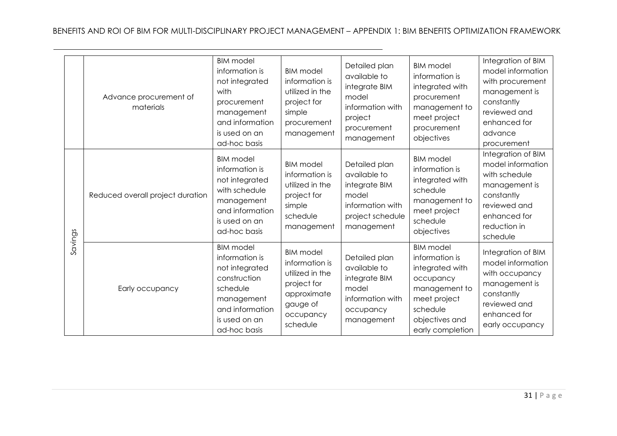|         | Advance procurement of<br>materials | <b>BIM</b> model<br>information is<br>not integrated<br>with<br>procurement<br>management<br>and information<br>is used on an<br>ad-hoc basis      | <b>BIM</b> model<br>information is<br>utilized in the<br>project for<br>simple<br>procurement<br>management              | Detailed plan<br>available to<br>integrate BIM<br>model<br>information with<br>project<br>procurement<br>management | <b>BIM</b> model<br>information is<br>integrated with<br>procurement<br>management to<br>meet project<br>procurement<br>objectives                    | Integration of BIM<br>model information<br>with procurement<br>management is<br>constantly<br>reviewed and<br>enhanced for<br>advance<br>procurement |
|---------|-------------------------------------|----------------------------------------------------------------------------------------------------------------------------------------------------|--------------------------------------------------------------------------------------------------------------------------|---------------------------------------------------------------------------------------------------------------------|-------------------------------------------------------------------------------------------------------------------------------------------------------|------------------------------------------------------------------------------------------------------------------------------------------------------|
|         | Reduced overall project duration    | <b>BIM</b> model<br>information is<br>not integrated<br>with schedule<br>management<br>and information<br>is used on an<br>ad-hoc basis            | <b>BIM</b> model<br>information is<br>utilized in the<br>project for<br>simple<br>schedule<br>management                 | Detailed plan<br>available to<br>integrate BIM<br>model<br>information with<br>project schedule<br>management       | <b>BIM</b> model<br>information is<br>integrated with<br>schedule<br>management to<br>meet project<br>schedule<br>objectives                          | Integration of BIM<br>model information<br>with schedule<br>management is<br>constantly<br>reviewed and<br>enhanced for<br>reduction in<br>schedule  |
| Savings | Early occupancy                     | <b>BIM</b> model<br>information is<br>not integrated<br>construction<br>schedule<br>management<br>and information<br>is used on an<br>ad-hoc basis | <b>BIM</b> model<br>information is<br>utilized in the<br>project for<br>approximate<br>gauge of<br>occupancy<br>schedule | Detailed plan<br>available to<br>integrate BIM<br>model<br>information with<br>occupancy<br>management              | <b>BIM</b> model<br>information is<br>integrated with<br>occupancy<br>management to<br>meet project<br>schedule<br>objectives and<br>early completion | Integration of BIM<br>model information<br>with occupancy<br>management is<br>constantly<br>reviewed and<br>enhanced for<br>early occupancy          |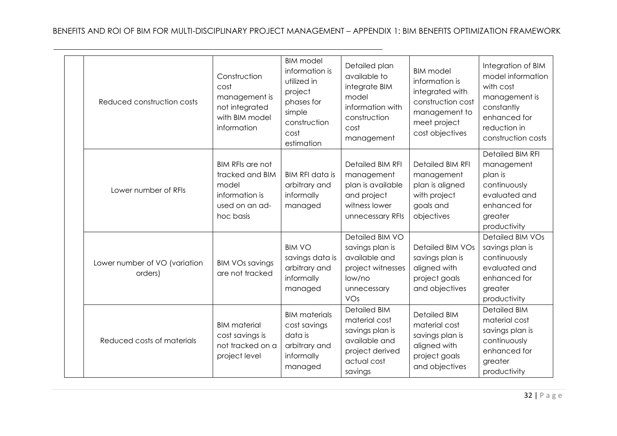| Reduced construction costs               | Construction<br>cost<br>management is<br>not integrated<br>with BIM model<br>information             | <b>BIM</b> model<br>information is<br>utilized in<br>project<br>phases for<br>simple<br>construction<br>cost<br>estimation | Detailed plan<br>available to<br>integrate BIM<br>model<br>information with<br>construction<br>cost<br>management     | <b>BIM</b> model<br>information is<br>integrated with<br>construction cost<br>management to<br>meet project<br>cost objectives | Integration of BIM<br>model information<br>with cost<br>management is<br>constantly<br>enhanced for<br>reduction in<br>construction costs |
|------------------------------------------|------------------------------------------------------------------------------------------------------|----------------------------------------------------------------------------------------------------------------------------|-----------------------------------------------------------------------------------------------------------------------|--------------------------------------------------------------------------------------------------------------------------------|-------------------------------------------------------------------------------------------------------------------------------------------|
| Lower number of RFIs                     | <b>BIM RFIs are not</b><br>tracked and BIM<br>model<br>information is<br>used on an ad-<br>hoc basis | <b>BIM RFI data is</b><br>arbitrary and<br>informally<br>managed                                                           | <b>Detailed BIM RFI</b><br>management<br>plan is available<br>and project<br>witness lower<br>unnecessary RFIs        | <b>Detailed BIM RFI</b><br>management<br>plan is aligned<br>with project<br>goals and<br>objectives                            | <b>Detailed BIM RFI</b><br>management<br>plan is<br>continuously<br>evaluated and<br>enhanced for<br>greater<br>productivity              |
| Lower number of VO (variation<br>orders) | <b>BIM VOs savings</b><br>are not tracked                                                            | <b>BIM VO</b><br>savings data is<br>arbitrary and<br>informally<br>managed                                                 | Detailed BIM VO<br>savings plan is<br>available and<br>project witnesses<br>low/no<br>unnecessary<br>VOs              | <b>Detailed BIM VOs</b><br>savings plan is<br>aligned with<br>project goals<br>and objectives                                  | Detailed BIM VOs<br>savings plan is<br>continuously<br>evaluated and<br>enhanced for<br>greater<br>productivity                           |
| Reduced costs of materials               | <b>BIM</b> material<br>cost savings is<br>not tracked on a<br>project level                          | <b>BIM</b> materials<br>cost savings<br>data is<br>arbitrary and<br>informally<br>managed                                  | <b>Detailed BIM</b><br>material cost<br>savings plan is<br>available and<br>project derived<br>actual cost<br>savings | <b>Detailed BIM</b><br>material cost<br>savings plan is<br>aligned with<br>project goals<br>and objectives                     | <b>Detailed BIM</b><br>material cost<br>savings plan is<br>continuously<br>enhanced for<br>greater<br>productivity                        |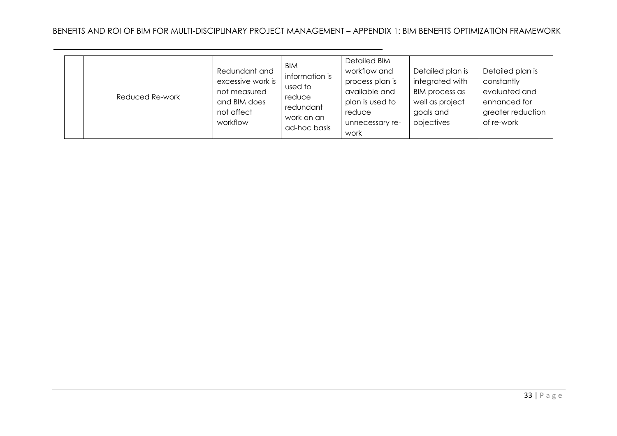|  | Reduced Re-work | Redundant and<br>excessive work is<br>not measured<br>and BIM does<br>not affect<br>workflow | BIM<br>information is<br>used to<br>reduce<br>redundant<br>work on an<br>ad-hoc basis | <b>Detailed BIM</b><br>workflow and<br>process plan is<br>available and<br>plan is used to<br>reduce<br>unnecessary re-<br>work | Detailed plan is<br>integrated with<br>BIM process as<br>well as project<br>goals and<br>objectives | Detailed plan is<br>constantly<br>evaluated and<br>enhanced for<br>greater reduction<br>of re-work |
|--|-----------------|----------------------------------------------------------------------------------------------|---------------------------------------------------------------------------------------|---------------------------------------------------------------------------------------------------------------------------------|-----------------------------------------------------------------------------------------------------|----------------------------------------------------------------------------------------------------|
|--|-----------------|----------------------------------------------------------------------------------------------|---------------------------------------------------------------------------------------|---------------------------------------------------------------------------------------------------------------------------------|-----------------------------------------------------------------------------------------------------|----------------------------------------------------------------------------------------------------|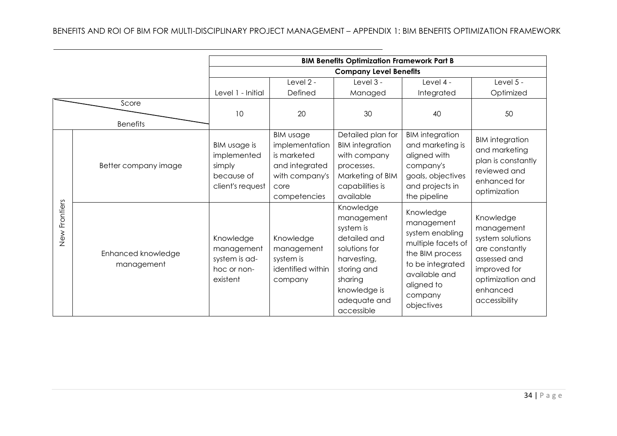# BENEFITS AND ROI OF BIM FOR MULTI-DISCIPLINARY PROJECT MANAGEMENT – APPENDIX 1: BIM BENEFITS OPTIMIZATION FRAMEWORK

|               |                                  |                                                                         |                                                                                                               | <b>BIM Benefits Optimization Framework Part B</b>                                                                                                            |                                                                                                                                                                 |                                                                                                                                                |
|---------------|----------------------------------|-------------------------------------------------------------------------|---------------------------------------------------------------------------------------------------------------|--------------------------------------------------------------------------------------------------------------------------------------------------------------|-----------------------------------------------------------------------------------------------------------------------------------------------------------------|------------------------------------------------------------------------------------------------------------------------------------------------|
|               |                                  |                                                                         |                                                                                                               | <b>Company Level Benefits</b>                                                                                                                                |                                                                                                                                                                 |                                                                                                                                                |
|               |                                  |                                                                         | Level 2 -                                                                                                     | Level 3 -                                                                                                                                                    | Level 4 -                                                                                                                                                       | Level $5 -$                                                                                                                                    |
|               |                                  | Level 1 - Initial                                                       | Defined                                                                                                       | Managed                                                                                                                                                      | Integrated                                                                                                                                                      | Optimized                                                                                                                                      |
|               | Score<br><b>Benefits</b>         | 10                                                                      | 20                                                                                                            | 30                                                                                                                                                           | 40                                                                                                                                                              | 50                                                                                                                                             |
|               | Better company image             | BIM usage is<br>implemented<br>simply<br>because of<br>client's request | <b>BIM usage</b><br>implementation<br>is marketed<br>and integrated<br>with company's<br>core<br>competencies | Detailed plan for<br><b>BIM</b> integration<br>with company<br>processes.<br>Marketing of BIM<br>capabilities is<br>available                                | <b>BIM</b> integration<br>and marketing is<br>aligned with<br>company's<br>goals, objectives<br>and projects in<br>the pipeline                                 | <b>BIM</b> integration<br>and marketing<br>plan is constantly<br>reviewed and<br>enhanced for<br>optimization                                  |
| New Frontiers | Enhanced knowledge<br>management | Knowledge<br>management<br>system is ad-<br>hoc or non-<br>existent     | Knowledge<br>management<br>system is<br>identified within<br>company                                          | Knowledge<br>management<br>system is<br>detailed and<br>solutions for<br>harvesting,<br>storing and<br>sharing<br>knowledge is<br>adequate and<br>accessible | Knowledge<br>management<br>system enabling<br>multiple facets of<br>the BIM process<br>to be integrated<br>available and<br>aligned to<br>company<br>objectives | Knowledge<br>management<br>system solutions<br>are constantly<br>assessed and<br>improved for<br>optimization and<br>enhanced<br>accessibility |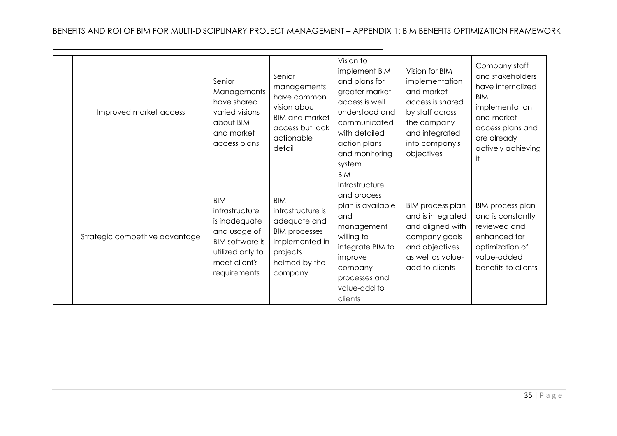| Improved market access          | Senior<br>Managements<br>have shared<br>varied visions<br>about BIM<br>and market<br>access plans                                            | Senior<br>managements<br>have common<br>vision about<br><b>BIM and market</b><br>access but lack<br>actionable<br>detail          | Vision to<br>implement BIM<br>and plans for<br>greater market<br>access is well<br>understood and<br>communicated<br>with detailed<br>action plans<br>and monitoring<br>system            | Vision for BIM<br>implementation<br>and market<br>access is shared<br>by staff across<br>the company<br>and integrated<br>into company's<br>objectives | Company staff<br>and stakeholders<br>have internalized<br><b>BIM</b><br>implementation<br>and market<br>access plans and<br>are already<br>actively achieving<br>it |
|---------------------------------|----------------------------------------------------------------------------------------------------------------------------------------------|-----------------------------------------------------------------------------------------------------------------------------------|-------------------------------------------------------------------------------------------------------------------------------------------------------------------------------------------|--------------------------------------------------------------------------------------------------------------------------------------------------------|---------------------------------------------------------------------------------------------------------------------------------------------------------------------|
| Strategic competitive advantage | <b>BIM</b><br>infrastructure<br>is inadequate<br>and usage of<br><b>BIM</b> software is<br>utilized only to<br>meet client's<br>requirements | <b>BIM</b><br>infrastructure is<br>adequate and<br><b>BIM processes</b><br>implemented in<br>projects<br>helmed by the<br>company | <b>BIM</b><br>Infrastructure<br>and process<br>plan is available<br>and<br>management<br>willing to<br>integrate BIM to<br>improve<br>company<br>processes and<br>value-add to<br>clients | <b>BIM process plan</b><br>and is integrated<br>and aligned with<br>company goals<br>and objectives<br>as well as value-<br>add to clients             | <b>BIM process plan</b><br>and is constantly<br>reviewed and<br>enhanced for<br>optimization of<br>value-added<br>benefits to clients                               |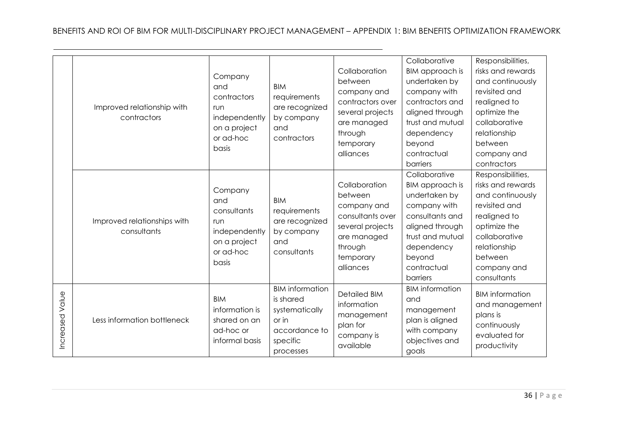|                    | Improved relationship with<br>contractors  | Company<br>and<br>contractors<br>run<br>independently<br>on a project<br>or ad-hoc<br>basis | <b>BIM</b><br>requirements<br>are recognized<br>by company<br>and<br>contractors                         | Collaboration<br>between<br>company and<br>contractors over<br>several projects<br>are managed<br>through<br>temporary<br>alliances | Collaborative<br>BIM approach is<br>undertaken by<br>company with<br>contractors and<br>aligned through<br>trust and mutual<br>dependency<br>beyond<br>contractual<br>barriers | Responsibilities,<br>risks and rewards<br>and continuously<br>revisited and<br>realigned to<br>optimize the<br>collaborative<br>relationship<br>between<br>company and<br>contractors |
|--------------------|--------------------------------------------|---------------------------------------------------------------------------------------------|----------------------------------------------------------------------------------------------------------|-------------------------------------------------------------------------------------------------------------------------------------|--------------------------------------------------------------------------------------------------------------------------------------------------------------------------------|---------------------------------------------------------------------------------------------------------------------------------------------------------------------------------------|
|                    | Improved relationships with<br>consultants | Company<br>and<br>consultants<br>run<br>independently<br>on a project<br>or ad-hoc<br>basis | <b>BIM</b><br>requirements<br>are recognized<br>by company<br>and<br>consultants                         | Collaboration<br>between<br>company and<br>consultants over<br>several projects<br>are managed<br>through<br>temporary<br>alliances | Collaborative<br>BIM approach is<br>undertaken by<br>company with<br>consultants and<br>aligned through<br>trust and mutual<br>dependency<br>beyond<br>contractual<br>barriers | Responsibilities,<br>risks and rewards<br>and continuously<br>revisited and<br>realigned to<br>optimize the<br>collaborative<br>relationship<br>between<br>company and<br>consultants |
| Value<br>Increased | Less information bottleneck                | <b>BIM</b><br>information is<br>shared on an<br>ad-hoc or<br>informal basis                 | <b>BIM</b> information<br>is shared<br>systematically<br>or in<br>accordance to<br>specific<br>processes | <b>Detailed BIM</b><br>information<br>management<br>plan for<br>company is<br>available                                             | <b>BIM</b> information<br>and<br>management<br>plan is aligned<br>with company<br>objectives and<br>goals                                                                      | <b>BIM</b> information<br>and management<br>plans is<br>continuously<br>evaluated for<br>productivity                                                                                 |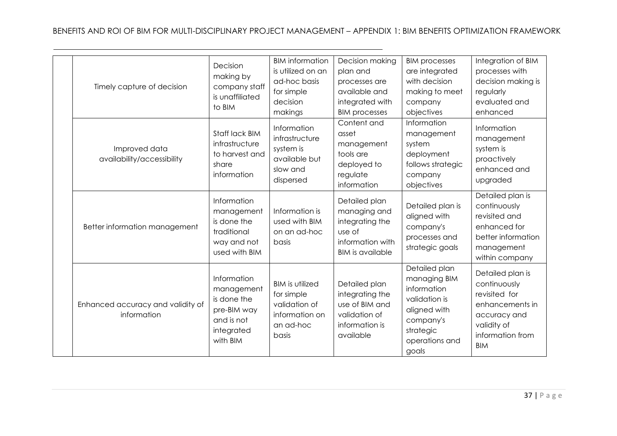| Timely capture of decision                       | Decision<br>making by<br>company staff<br>is unaffiliated<br>to BIM                             | <b>BIM</b> information<br>is utilized on an<br>ad-hoc basis<br>for simple<br>decision<br>makings | Decision making<br>plan and<br>processes are<br>available and<br>integrated with<br><b>BIM processes</b>  | <b>BIM processes</b><br>are integrated<br>with decision<br>making to meet<br>company<br>objectives                                 | Integration of BIM<br>processes with<br>decision making is<br>regularly<br>evaluated and<br>enhanced                                  |
|--------------------------------------------------|-------------------------------------------------------------------------------------------------|--------------------------------------------------------------------------------------------------|-----------------------------------------------------------------------------------------------------------|------------------------------------------------------------------------------------------------------------------------------------|---------------------------------------------------------------------------------------------------------------------------------------|
| Improved data<br>availability/accessibility      | Staff lack BIM<br>infrastructure<br>to harvest and<br>share<br>information                      | Information<br>infrastructure<br>system is<br>available but<br>slow and<br>dispersed             | Content and<br>asset<br>management<br>tools are<br>deployed to<br>regulate<br>information                 | Information<br>management<br>system<br>deployment<br>follows strategic<br>company<br>objectives                                    | Information<br>management<br>system is<br>proactively<br>enhanced and<br>upgraded                                                     |
| Better information management                    | Information<br>management<br>is done the<br>traditional<br>way and not<br>used with BIM         | Information is<br>used with BIM<br>on an ad-hoc<br>basis                                         | Detailed plan<br>managing and<br>integrating the<br>use of<br>information with<br><b>BIM</b> is available | Detailed plan is<br>aligned with<br>company's<br>processes and<br>strategic goals                                                  | Detailed plan is<br>continuously<br>revisited and<br>enhanced for<br>better information<br>management<br>within company               |
| Enhanced accuracy and validity of<br>information | Information<br>management<br>is done the<br>pre-BIM way<br>and is not<br>integrated<br>with BIM | <b>BIM</b> is utilized<br>for simple<br>validation of<br>information on<br>an ad-hoc<br>basis    | Detailed plan<br>integrating the<br>use of BIM and<br>validation of<br>information is<br>available        | Detailed plan<br>managing BIM<br>information<br>validation is<br>aligned with<br>company's<br>strategic<br>operations and<br>goals | Detailed plan is<br>continuously<br>revisited for<br>enhancements in<br>accuracy and<br>validity of<br>information from<br><b>BIM</b> |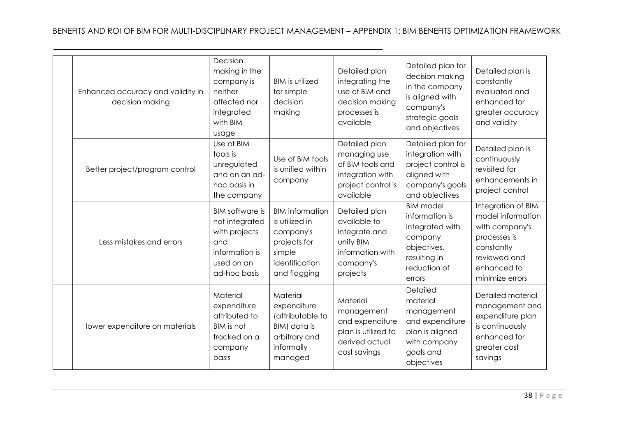| Enhanced accuracy and validity in<br>decision making | Decision<br>making in the<br>company is<br>neither<br>affected nor<br>integrated<br>with BIM<br>usage            | <b>BIM</b> is utilized<br>for simple<br>decision<br>making                                                        | Detailed plan<br>integrating the<br>use of BIM and<br>decision making<br>processes is<br>available       | Detailed plan for<br>decision making<br>in the company<br>is aligned with<br>company's<br>strategic goals<br>and objectives | Detailed plan is<br>constantly<br>evaluated and<br>enhanced for<br>greater accuracy<br>and validity                                       |
|------------------------------------------------------|------------------------------------------------------------------------------------------------------------------|-------------------------------------------------------------------------------------------------------------------|----------------------------------------------------------------------------------------------------------|-----------------------------------------------------------------------------------------------------------------------------|-------------------------------------------------------------------------------------------------------------------------------------------|
| Better project/program control                       | Use of BIM<br>tools is<br>unregulated<br>and on an ad-<br>hoc basis in<br>the company                            | Use of BIM tools<br>is unified within<br>company                                                                  | Detailed plan<br>managing use<br>of BIM tools and<br>integration with<br>project control is<br>available | Detailed plan for<br>integration with<br>project control is<br>aligned with<br>company's goals<br>and objectives            | Detailed plan is<br>continuously<br>revisited for<br>enhancements in<br>project control                                                   |
| Less mistakes and errors                             | <b>BIM</b> software is<br>not integrated<br>with projects<br>and<br>information is<br>used on an<br>ad-hoc basis | <b>BIM</b> information<br>is utilized in<br>company's<br>projects for<br>simple<br>identification<br>and flagging | Detailed plan<br>available to<br>integrate and<br>unify BIM<br>information with<br>company's<br>projects | <b>BIM</b> model<br>information is<br>integrated with<br>company<br>objectives,<br>resulting in<br>reduction of<br>errors   | Integration of BIM<br>model information<br>with company's<br>processes is<br>constantly<br>reviewed and<br>enhanced to<br>minimize errors |
| lower expenditure on materials                       | Material<br>expenditure<br>attributed to<br><b>BIM</b> is not<br>tracked on a<br>company<br>basis                | Material<br>expenditure<br>(attributable to<br>BIM) data is<br>arbitrary and<br>informally<br>managed             | Material<br>management<br>and expenditure<br>plan is utilized to<br>derived actual<br>cost savings       | Detailed<br>material<br>management<br>and expenditure<br>plan is aligned<br>with company<br>goals and<br>objectives         | Detailed material<br>management and<br>expenditure plan<br>is continuously<br>enhanced for<br>greater cost<br>savings                     |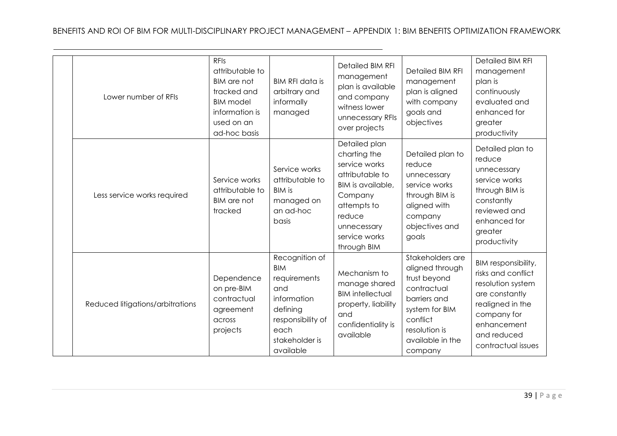| Lower number of RFIs             | <b>RFIs</b><br>attributable to<br><b>BIM</b> are not<br>tracked and<br><b>BIM</b> model<br>information is<br>used on an<br>ad-hoc basis | <b>BIM RFI data is</b><br>arbitrary and<br>informally<br>managed                                                                           | <b>Detailed BIM RFI</b><br>management<br>plan is available<br>and company<br>witness lower<br>unnecessary RFIs<br>over projects                                           | <b>Detailed BIM RFI</b><br>management<br>plan is aligned<br>with company<br>goals and<br>objectives                                                              | <b>Detailed BIM RFI</b><br>management<br>plan is<br>continuously<br>evaluated and<br>enhanced for<br>greater<br>productivity                                            |
|----------------------------------|-----------------------------------------------------------------------------------------------------------------------------------------|--------------------------------------------------------------------------------------------------------------------------------------------|---------------------------------------------------------------------------------------------------------------------------------------------------------------------------|------------------------------------------------------------------------------------------------------------------------------------------------------------------|-------------------------------------------------------------------------------------------------------------------------------------------------------------------------|
| Less service works required      | Service works<br>attributable to<br><b>BIM</b> are not<br>tracked                                                                       | Service works<br>attributable to<br><b>BIM is</b><br>managed on<br>an ad-hoc<br>basis                                                      | Detailed plan<br>charting the<br>service works<br>attributable to<br>BIM is available,<br>Company<br>attempts to<br>reduce<br>unnecessary<br>service works<br>through BIM | Detailed plan to<br>reduce<br>unnecessary<br>service works<br>through BIM is<br>aligned with<br>company<br>objectives and<br>goals                               | Detailed plan to<br>reduce<br>unnecessary<br>service works<br>through BIM is<br>constantly<br>reviewed and<br>enhanced for<br>greater<br>productivity                   |
| Reduced litigations/arbitrations | Dependence<br>on pre-BIM<br>contractual<br>agreement<br>across<br>projects                                                              | Recognition of<br><b>BIM</b><br>requirements<br>and<br>information<br>defining<br>responsibility of<br>each<br>stakeholder is<br>available | Mechanism to<br>manage shared<br><b>BIM</b> intellectual<br>property, liability<br>and<br>confidentiality is<br>available                                                 | Stakeholders are<br>aligned through<br>trust beyond<br>contractual<br>barriers and<br>system for BIM<br>conflict<br>resolution is<br>available in the<br>company | BIM responsibility,<br>risks and conflict<br>resolution system<br>are constantly<br>realigned in the<br>company for<br>enhancement<br>and reduced<br>contractual issues |